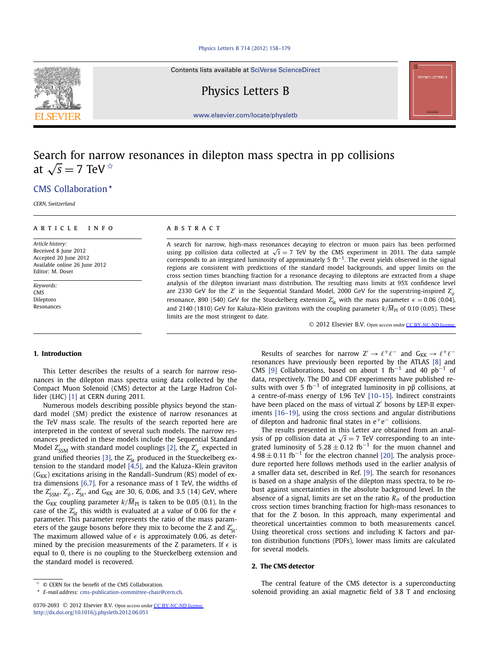Contents lists available at [SciVerse ScienceDirect](http://www.ScienceDirect.com/)

Physics Letters B





# Search for narrow resonances in dilepton mass spectra in pp collisions at  $\sqrt{s} = 7$  TeV  $*$

# [.CMS Collaboration](#page-7-0) *-*

*CERN, Switzerland*

#### article info abstract

*Article history:* Received 8 June 2012 Accepted 20 June 2012 Available online 26 June 2012 Editor: M. Doser

*Keywords:* CMS Dileptons Resonances

A search for narrow, high-mass resonances decaying to electron or muon pairs has been performed using pp collision data collected at  $\sqrt{s} = 7$  TeV by the CMS experiment in 2011. The data sample corresponds to an integrated luminosity of approximately 5 fb<sup>-1</sup>. The event yields observed in the signal regions are consistent with predictions of the standard model backgrounds, and upper limits on the cross section times branching fraction for a resonance decaying to dileptons are extracted from a shape analysis of the dilepton invariant mass distribution. The resulting mass limits at 95% confidence level are 2330 GeV for the Z' in the Sequential Standard Model, 2000 GeV for the superstring-inspired  $Z'_\psi$ resonance, 890 (540) GeV for the Stueckelberg extension  $Z'_{St}$  with the mass parameter  $\epsilon = 0.06$  (0.04), and 2140 (1810) GeV for Kaluza–Klein gravitons with the coupling parameter  $k/\overline{M}_{Pl}$  of 0.10 (0.05). These limits are the most stringent to date.

© 2012 Elsevier B.V. Open access under [CC BY-NC-ND license.](http://creativecommons.org/licenses/by-nc-nd/3.0/)

#### **1. Introduction**

This Letter describes the results of a search for narrow resonances in the dilepton mass spectra using data collected by the Compact Muon Solenoid (CMS) detector at the Large Hadron Collider (LHC) [\[1\]](#page-6-0) at CERN during 2011.

Numerous models describing possible physics beyond the standard model (SM) predict the existence of narrow resonances at the TeV mass scale. The results of the search reported here are interpreted in the context of several such models. The narrow resonances predicted in these models include the Sequential Standard Model  $\textnormal{Z}'_{\mathsf{SSM}}$  with standard model couplings [\[2\],](#page-6-0) the  $\textnormal{Z}'_{\psi}$  expected in grand unified theories [\[3\],](#page-6-0) the Z'<sub>St</sub> produced in the Stueckelberg ex-<br>tension to the standard model [\[4,5\],](#page-6-0) and the Kaluza–Klein graviton  $(G_{KK})$  excitations arising in the Randall–Sundrum (RS) model of extra dimensions [\[6,7\].](#page-6-0) For a resonance mass of 1 TeV, the widths of the  $Z'_{\rm SSM}$ ,  $Z'_{\psi}$ ,  $Z'_{\rm St}$ , and  $G_{\rm KK}$  are 30, 6, 0.06, and 3.5 (14) GeV, where the G<sub>KK</sub> coupling parameter  $k/\overline{M}_{\text{Pl}}$  is taken to be 0.05 (0.1). In the case of the  $Z'_{St}$  this width is evaluated at a value of 0.06 for the  $\epsilon$ parameter. This parameter represents the ratio of the mass parameters of the gauge bosons before they mix to become the Z and  $\operatorname{Z}^\prime_{\mathsf{St}^*}$ The maximum allowed value of  $\epsilon$  is approximately 0.06, as determined by the precision measurements of the Z parameters. If  $\epsilon$  is equal to 0, there is no coupling to the Stueckelberg extension and the standard model is recovered.

Results of searches for narrow  $Z' \to \ell^+ \ell^-$  and  $G_{KK} \to \ell^+ \ell^$ resonances have previously been reported by the ATLAS [\[8\]](#page-6-0) and CMS [\[9\]](#page-6-0) Collaborations, based on about 1 fb<sup>-1</sup> and 40 pb<sup>-1</sup> of data, respectively. The D0 and CDF experiments have published results with over 5 fb<sup>-1</sup> of integrated luminosity in pp collisions, at a centre-of-mass energy of 1.96 TeV [\[10–15\].](#page-6-0) Indirect constraints have been placed on the mass of virtual Z' bosons by LEP-II experiments [\[16–19\],](#page-6-0) using the cross sections and angular distributions of dilepton and hadronic final states in  $e^+e^-$  collisions.

The results presented in this Letter are obtained from an analysis of pp collision data at  $\sqrt{s}$  = 7 TeV corresponding to an integrated luminosity of  $5.28 \pm 0.12$  fb<sup>-1</sup> for the muon channel and  $4.98 \pm 0.11$  fb<sup>-1</sup> for the electron channel [\[20\].](#page-6-0) The analysis procedure reported here follows methods used in the earlier analysis of a smaller data set, described in Ref. [\[9\].](#page-6-0) The search for resonances is based on a shape analysis of the dilepton mass spectra, to be robust against uncertainties in the absolute background level. In the absence of a signal, limits are set on the ratio  $R_{\sigma}$  of the production cross section times branching fraction for high-mass resonances to that for the Z boson. In this approach, many experimental and theoretical uncertainties common to both measurements cancel. Using theoretical cross sections and including K factors and parton distribution functions (PDFs), lower mass limits are calculated for several models.

#### **2. The CMS detector**

The central feature of the CMS detector is a superconducting solenoid providing an axial magnetic field of 3.8 T and enclosing

 $\hat{z}$  © CERN for the benefit of the CMS Collaboration.

*<sup>-</sup> E-mail address:* [cms-publication-committee-chair@cern.ch](mailto:cms-publication-committee-chair@cern.ch).

<sup>0370-2693 © 2012</sup> Elsevier B.V. Open access under [CC BY-NC-ND license.](http://creativecommons.org/licenses/by-nc-nd/3.0/) <http://dx.doi.org/10.1016/j.physletb.2012.06.051>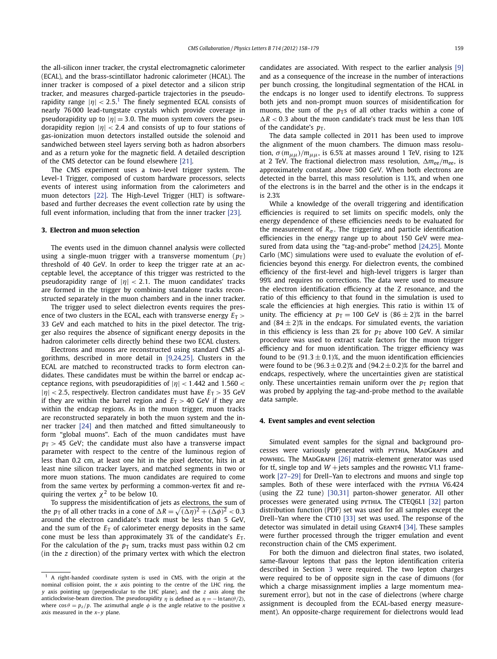the all-silicon inner tracker, the crystal electromagnetic calorimeter (ECAL), and the brass-scintillator hadronic calorimeter (HCAL). The inner tracker is composed of a pixel detector and a silicon strip tracker, and measures charged-particle trajectories in the pseudorapidity range  $|\eta| < 2.5$ .<sup>1</sup> The finely segmented ECAL consists of nearly 76 000 lead-tungstate crystals which provide coverage in pseudorapidity up to  $|\eta| = 3.0$ . The muon system covers the pseudorapidity region |*η*| *<* <sup>2</sup>*.*4 and consists of up to four stations of gas-ionization muon detectors installed outside the solenoid and sandwiched between steel layers serving both as hadron absorbers and as a return yoke for the magnetic field. A detailed description of the CMS detector can be found elsewhere [\[21\].](#page-6-0)

The CMS experiment uses a two-level trigger system. The Level-1 Trigger, composed of custom hardware processors, selects events of interest using information from the calorimeters and muon detectors [\[22\].](#page-6-0) The High-Level Trigger (HLT) is softwarebased and further decreases the event collection rate by using the full event information, including that from the inner tracker [\[23\].](#page-6-0)

#### **3. Electron and muon selection**

The events used in the dimuon channel analysis were collected using a single-muon trigger with a transverse momentum  $(p_T)$ threshold of 40 GeV. In order to keep the trigger rate at an acceptable level, the acceptance of this trigger was restricted to the pseudorapidity range of |*η*| *<* <sup>2</sup>*.*1. The muon candidates' tracks are formed in the trigger by combining standalone tracks reconstructed separately in the muon chambers and in the inner tracker.

The trigger used to select dielectron events requires the presence of two clusters in the ECAL, each with transverse energy  $E_T$  > 33 GeV and each matched to hits in the pixel detector. The trigger also requires the absence of significant energy deposits in the hadron calorimeter cells directly behind these two ECAL clusters.

Electrons and muons are reconstructed using standard CMS algorithms, described in more detail in [\[9,24,25\].](#page-6-0) Clusters in the ECAL are matched to reconstructed tracks to form electron candidates. These candidates must be within the barrel or endcap acceptance regions, with pseudorapidities of |*η*| *<* <sup>1</sup>*.*442 and 1*.*<sup>560</sup> *<*  $|\eta|$  < 2.5, respectively. Electron candidates must have  $E_T > 35$  GeV if they are within the barrel region and  $E_T > 40$  GeV if they are within the endcap regions. As in the muon trigger, muon tracks are reconstructed separately in both the muon system and the inner tracker [\[24\]](#page-6-0) and then matched and fitted simultaneously to form "global muons". Each of the muon candidates must have  $p_T > 45$  GeV; the candidate must also have a transverse impact parameter with respect to the centre of the luminous region of less than 0.2 cm, at least one hit in the pixel detector, hits in at least nine silicon tracker layers, and matched segments in two or more muon stations. The muon candidates are required to come from the same vertex by performing a common-vertex fit and requiring the vertex  $\chi^2$  to be below 10.

To suppress the misidentification of jets as electrons, the sum of the *p*<sub>T</sub> of all other tracks in a cone of  $\Delta R = \sqrt{(\Delta \eta)^2 + (\Delta \phi)^2} < 0.3$ around the electron candidate's track must be less than 5 GeV, and the sum of the  $E_T$  of calorimeter energy deposits in the same cone must be less than approximately 3% of the candidate's *E*T. For the calculation of the  $p<sub>T</sub>$  sum, tracks must pass within 0.2 cm (in the *z* direction) of the primary vertex with which the electron candidates are associated. With respect to the earlier analysis [\[9\]](#page-6-0) and as a consequence of the increase in the number of interactions per bunch crossing, the longitudinal segmentation of the HCAL in the endcaps is no longer used to identify electrons. To suppress both jets and non-prompt muon sources of misidentification for muons, the sum of the  $p_Ts$  of all other tracks within a cone of  $\Delta R < 0.3$  about the muon candidate's track must be less than 10% of the candidate's  $p_T$ .

The data sample collected in 2011 has been used to improve the alignment of the muon chambers. The dimuon mass resolution,  $\sigma(m_{\mu\mu})/m_{\mu\mu}$ , is 6.5% at masses around 1 TeV, rising to 12% at 2 TeV. The fractional dielectron mass resolution,  $\Delta m_{ee}/m_{ee}$ , is approximately constant above 500 GeV. When both electrons are detected in the barrel, this mass resolution is 1.1%, and when one of the electrons is in the barrel and the other is in the endcaps it is 2.3%

While a knowledge of the overall triggering and identification efficiencies is required to set limits on specific models, only the energy dependence of these efficiencies needs to be evaluated for the measurement of  $R_{\sigma}$ . The triggering and particle identification efficiencies in the energy range up to about 150 GeV were measured from data using the "tag-and-probe" method [\[24,25\].](#page-6-0) Monte Carlo (MC) simulations were used to evaluate the evolution of efficiencies beyond this energy. For dielectron events, the combined efficiency of the first-level and high-level triggers is larger than 99% and requires no corrections. The data were used to measure the electron identification efficiency at the Z resonance, and the ratio of this efficiency to that found in the simulation is used to scale the efficiencies at high energies. This ratio is within 1% of unity. The efficiency at  $p_T = 100$  GeV is  $(86 \pm 2)\%$  in the barrel and  $(84 \pm 2)\%$  in the endcaps. For simulated events, the variation in this efficiency is less than 2% for  $p<sub>T</sub>$  above 100 GeV. A similar procedure was used to extract scale factors for the muon trigger efficiency and for muon identification. The trigger efficiency was found to be  $(91.3 \pm 0.1)$ %, and the muon identification efficiencies were found to be  $(96.3 \pm 0.2)$ % and  $(94.2 \pm 0.2)$ % for the barrel and endcaps, respectively, where the uncertainties given are statistical only. These uncertainties remain uniform over the  $p<sub>T</sub>$  region that was probed by applying the tag-and-probe method to the available data sample.

#### **4. Event samples and event selection**

Simulated event samples for the signal and background processes were variously generated with PYTHIA, MADGRAPH and powheg. The MadGraph [\[26\]](#page-6-0) matrix-element generator was used for tt, single top and  $W +$ jets samples and the pow<sub>HEG</sub> V1.1 framework [\[27–29\]](#page-6-0) for Drell–Yan to electrons and muons and single top samples. Both of these were interfaced with the PYTHIA V6.424 (using the Z2 tune) [\[30,31\]](#page-6-0) parton-shower generator. All other processes were generated using pythia. The CTEQ6L1 [\[32\]](#page-6-0) parton distribution function (PDF) set was used for all samples except the Drell–Yan where the CT10 [\[33\]](#page-6-0) set was used. The response of the detector was simulated in detail using Geant4 [\[34\].](#page-6-0) These samples were further processed through the trigger emulation and event reconstruction chain of the CMS experiment.

For both the dimuon and dielectron final states, two isolated, same-flavour leptons that pass the lepton identification criteria described in Section 3 were required. The two lepton charges were required to be of opposite sign in the case of dimuons (for which a charge misassignment implies a large momentum measurement error), but not in the case of dielectrons (where charge assignment is decoupled from the ECAL-based energy measurement). An opposite-charge requirement for dielectrons would lead

<sup>1</sup> A right-handed coordinate system is used in CMS, with the origin at the nominal collision point, the *x* axis pointing to the centre of the LHC ring, the *y* axis pointing up (perpendicular to the LHC plane), and the *z* axis along the anticlockwise-beam direction. The pseudorapidity  $\eta$  is defined as  $\eta = -\ln \tan(\theta/2)$ , where  $\cos \theta = p_z/p$ . The azimuthal angle  $\phi$  is the angle relative to the positive *x* axis measured in the *x*–*y* plane.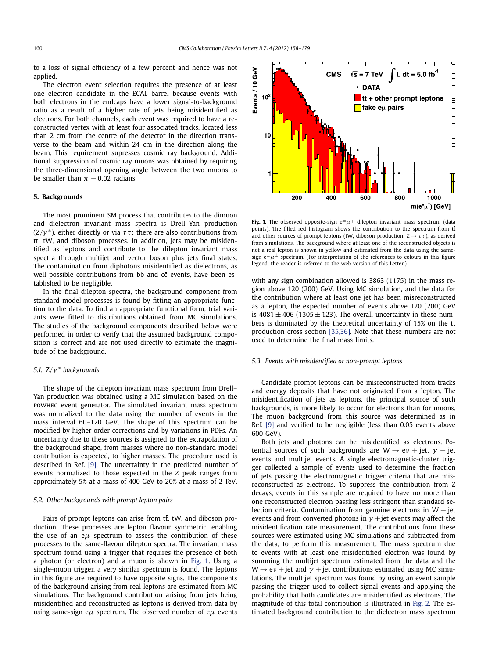to a loss of signal efficiency of a few percent and hence was not applied.

The electron event selection requires the presence of at least one electron candidate in the ECAL barrel because events with both electrons in the endcaps have a lower signal-to-background ratio as a result of a higher rate of jets being misidentified as electrons. For both channels, each event was required to have a reconstructed vertex with at least four associated tracks, located less than 2 cm from the centre of the detector in the direction transverse to the beam and within 24 cm in the direction along the beam. This requirement supresses cosmic ray background. Additional suppression of cosmic ray muons was obtained by requiring the three-dimensional opening angle between the two muons to be smaller than  $\pi$  – 0.02 radians.

#### **5. Backgrounds**

The most prominent SM process that contributes to the dimuon and dielectron invariant mass spectra is Drell–Yan production  $(Z/\gamma^*)$ , either directly or via  $\tau\tau$ ; there are also contributions from tt, tW, and diboson processes. In addition, jets may be misidentified as leptons and contribute to the dilepton invariant mass spectra through multijet and vector boson plus jets final states. The contamination from diphotons misidentified as dielectrons, as well possible contributions from bb and cc events, have been established to be negligible.

In the final dilepton spectra, the background component from standard model processes is found by fitting an appropriate function to the data. To find an appropriate functional form, trial variants were fitted to distributions obtained from MC simulations. The studies of the background components described below were performed in order to verify that the assumed background composition is correct and are not used directly to estimate the magnitude of the background.

#### *5.1.* Z*/γ* <sup>∗</sup> *backgrounds*

The shape of the dilepton invariant mass spectrum from Drell– Yan production was obtained using a MC simulation based on the powheg event generator. The simulated invariant mass spectrum was normalized to the data using the number of events in the mass interval 60–120 GeV. The shape of this spectrum can be modified by higher-order corrections and by variations in PDFs. An uncertainty due to these sources is assigned to the extrapolation of the background shape, from masses where no non-standard model contribution is expected, to higher masses. The procedure used is described in Ref. [\[9\].](#page-6-0) The uncertainty in the predicted number of events normalized to those expected in the Z peak ranges from approximately 5% at a mass of 400 GeV to 20% at a mass of 2 TeV.

#### *5.2. Other backgrounds with prompt lepton pairs*

Pairs of prompt leptons can arise from tt, tW, and diboson production. These processes are lepton flavour symmetric, enabling the use of an e*μ* spectrum to assess the contribution of these processes to the same-flavour dilepton spectra. The invariant mass spectrum found using a trigger that requires the presence of both a photon (or electron) and a muon is shown in Fig. 1. Using a single-muon trigger, a very similar spectrum is found. The leptons in this figure are required to have opposite signs. The components of the background arising from real leptons are estimated from MC simulations. The background contribution arising from jets being misidentified and reconstructed as leptons is derived from data by using same-sign e*μ* spectrum. The observed number of e*μ* events



**Fig. 1.** The observed opposite-sign  $e^{\pm}\mu^{\mp}$  dilepton invariant mass spectrum (data points). The filled red histogram shows the contribution to the spectrum from tt and other sources of prompt leptons (tW, diboson production,  $Z \rightarrow \tau \tau$ ), as derived from simulations. The background where at least one of the reconstructed objects is not a real lepton is shown in yellow and estimated from the data using the samesign  $e^{\pm}u^{\pm}$  spectrum. (For interpretation of the references to colours in this figure legend, the reader is referred to the web version of this Letter.)

with any sign combination allowed is 3863 (1175) in the mass region above 120 (200) GeV. Using MC simulation, and the data for the contribution where at least one jet has been misreconstructed as a lepton, the expected number of events above 120 (200) GeV is  $4081 \pm 406$  (1305  $\pm$  123). The overall uncertainty in these numbers is dominated by the theoretical uncertainty of 15% on the tt production cross section [\[35,36\].](#page-6-0) Note that these numbers are not used to determine the final mass limits.

#### *5.3. Events with misidentified or non-prompt leptons*

Candidate prompt leptons can be misreconstructed from tracks and energy deposits that have not originated from a lepton. The misidentification of jets as leptons, the principal source of such backgrounds, is more likely to occur for electrons than for muons. The muon background from this source was determined as in Ref. [\[9\]](#page-6-0) and verified to be negligible (less than 0.05 events above 600 GeV).

Both jets and photons can be misidentified as electrons. Potential sources of such backgrounds are  $W \rightarrow e \nu + jet$ ,  $\gamma + jet$ events and multijet events. A single electromagnetic-cluster trigger collected a sample of events used to determine the fraction of jets passing the electromagnetic trigger criteria that are misreconstructed as electrons. To suppress the contribution from Z decays, events in this sample are required to have no more than one reconstructed electron passing less stringent than standard selection criteria. Contamination from genuine electrons in  $W + jet$ events and from converted photons in  $\gamma$  + jet events may affect the misidentification rate measurement. The contributions from these sources were estimated using MC simulations and subtracted from the data, to perform this measurement. The mass spectrum due to events with at least one misidentified electron was found by summing the multijet spectrum estimated from the data and the  $W \rightarrow e\nu + jet$  and  $\gamma + jet$  contributions estimated using MC simulations. The multijet spectrum was found by using an event sample passing the trigger used to collect signal events and applying the probability that both candidates are misidentified as electrons. The magnitude of this total contribution is illustrated in [Fig. 2.](#page-3-0) The estimated background contribution to the dielectron mass spectrum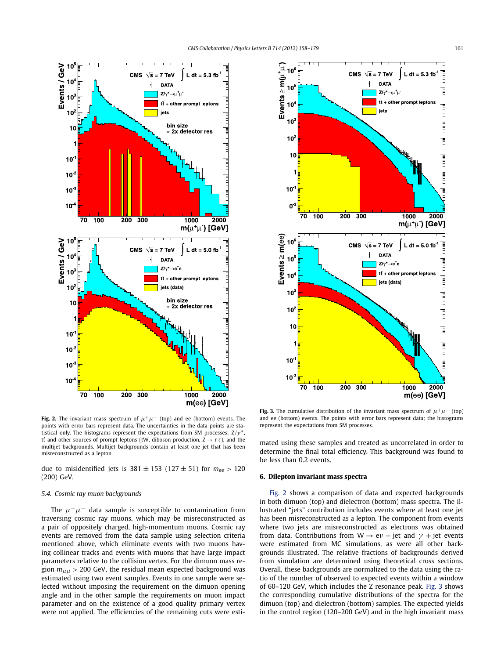

**Fig. 2.** The invariant mass spectrum of  $\mu^+\mu^-$  (top) and ee (bottom) events. The points with error bars represent data. The uncertainties in the data points are statistical only. The histograms represent the expectations from SM processes: Z*/γ* <sup>∗</sup>, tt and other sources of prompt leptons (tW, diboson production,  $Z \rightarrow \tau \tau$ ), and the multijet backgrounds. Multijet backgrounds contain at least one jet that has been misreconstructed as a lepton.

due to misidentified jets is  $381 \pm 153$  ( $127 \pm 51$ ) for  $m_{ee} > 120$ (200) GeV.

#### *5.4. Cosmic ray muon backgrounds*

<span id="page-3-0"></span>Events / GeV

 $10$ 

 $10<sup>4</sup>$ 

 $10$ 

 $10<sup>2</sup>$ 

 $10$ 

 $10<sup>1</sup>$  $10<sup>2</sup>$ 

 $10^{-3}$  $10^{-4}$ 

 $10^5$ 

 $10<sup>4</sup>$ 

 $10<sup>3</sup>$ 

 $10<sup>2</sup>$ 

10

 $10$  $10^{-2}$ 

 $10$ 

 $10<sup>°</sup>$ 

70 100

Events / GeV

 $70, 100$ 

The  $\mu^+\mu^-$  data sample is susceptible to contamination from traversing cosmic ray muons, which may be misreconstructed as a pair of oppositely charged, high-momentum muons. Cosmic ray events are removed from the data sample using selection criteria mentioned above, which eliminate events with two muons having collinear tracks and events with muons that have large impact parameters relative to the collision vertex. For the dimuon mass region  $m_{\mu\mu}$  > 200 GeV, the residual mean expected background was estimated using two event samples. Events in one sample were selected without imposing the requirement on the dimuon opening angle and in the other sample the requirements on muon impact parameter and on the existence of a good quality primary vertex were not applied. The efficiencies of the remaining cuts were esti-



**Fig. 3.** The cumulative distribution of the invariant mass spectrum of  $\mu^+\mu^-$  (top) and ee (bottom) events. The points with error bars represent data; the histograms represent the expectations from SM processes.

mated using these samples and treated as uncorrelated in order to determine the final total efficiency. This background was found to be less than 0.2 events.

#### **6. Dilepton invariant mass spectra**

Fig. 2 shows a comparison of data and expected backgrounds in both dimuon (top) and dielectron (bottom) mass spectra. The illustrated "jets" contribution includes events where at least one jet has been misreconstructed as a lepton. The component from events where two jets are misreconstructed as electrons was obtained from data. Contributions from  $W \rightarrow e\nu + i$ et and  $\gamma + i$ et events were estimated from MC simulations, as were all other backgrounds illustrated. The relative fractions of backgrounds derived from simulation are determined using theoretical cross sections. Overall, these backgrounds are normalized to the data using the ratio of the number of observed to expected events within a window of 60–120 GeV, which includes the Z resonance peak. Fig. 3 shows the corresponding cumulative distributions of the spectra for the dimuon (top) and dielectron (bottom) samples. The expected yields in the control region (120–200 GeV) and in the high invariant mass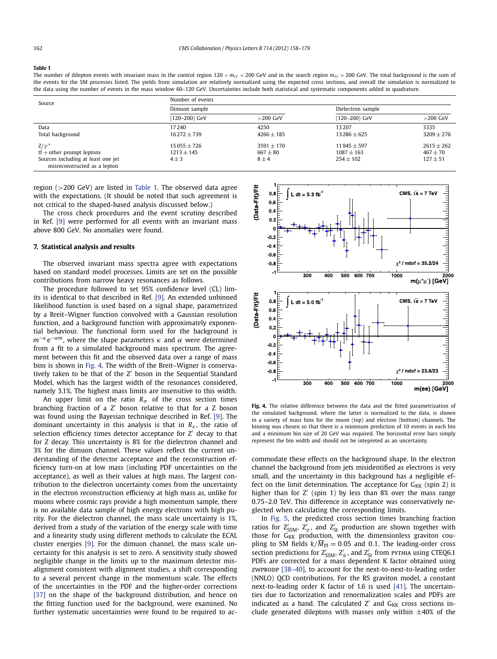**Table 1**

The number of dilepton events with invariant mass in the control region 120  $\langle m_\ell \rangle$  200 GeV and in the search region  $m_{\ell\ell}$  > 200 GeV. The total background is the sum of the events for the SM processes listed. The yields from simulation are relatively normalized using the expected cross sections, and overall the simulation is normalized to the data using the number of events in the mass window 60–120 GeV. Uncertainties include both statistical and systematic components added in quadrature.

| Source                             | Number of events |                |                   |                |
|------------------------------------|------------------|----------------|-------------------|----------------|
|                                    | Dimuon sample    |                | Dielectron sample |                |
|                                    | (120-200) GeV    | $>200$ GeV     | (120-200) GeV     | $>200$ GeV     |
| Data                               | 17240            | 4250           | 13207             | 3335           |
| Total background                   | $16272 \pm 739$  | $4266 \pm 185$ | $13286 \pm 625$   | $3209 \pm 276$ |
| $Z/\gamma^*$                       | $15055 \pm 726$  | $3591 \pm 170$ | $11945 \pm 597$   | $2615 \pm 262$ |
| $tt + other$ prompt leptons        | $1213 \pm 145$   | $667 \pm 80$   | $1087 \pm 163$    | $467 \pm 70$   |
| Sources including at least one jet | $4 \pm 3$        | $8 \pm 4$      | $254 \pm 102$     | $127 \pm 51$   |
| misreconstructed as a lepton       |                  |                |                   |                |

region (*>*200 GeV) are listed in Table 1. The observed data agree with the expectations. (It should be noted that such agreement is not critical to the shaped-based analysis discussed below.)

The cross check procedures and the event scrutiny described in Ref. [\[9\]](#page-6-0) were performed for all events with an invariant mass above 800 GeV. No anomalies were found.

#### **7. Statistical analysis and results**

The observed invariant mass spectra agree with expectations based on standard model processes. Limits are set on the possible contributions from narrow heavy resonances as follows.

The procedure followed to set 95% confidence level (CL) limits is identical to that described in Ref. [\[9\].](#page-6-0) An extended unbinned likelihood function is used based on a signal shape, parametrized by a Breit–Wigner function convolved with a Gaussian resolution function, and a background function with approximately exponential behaviour. The functional form used for the background is  $m^{-k}e^{-\alpha m}$ , where the shape parameters  $\kappa$  and  $\alpha$  were determined from a fit to a simulated background mass spectrum. The agreement between this fit and the observed data over a range of mass bins is shown in Fig. 4. The width of the Breit–Wigner is conservatively taken to be that of the Z' boson in the Sequential Standard Model, which has the largest width of the resonances considered, namely 3.1%. The highest mass limits are insensitive to this width.

An upper limit on the ratio  $R_{\sigma}$  of the cross section times branching fraction of a Z' boson relative to that for a Z boson was found using the Bayesian technique described in Ref. [\[9\].](#page-6-0) The dominant uncertainty in this analysis is that in  $R_{\epsilon}$ , the ratio of selection efficiency times detector acceptance for  $Z'$  decay to that for Z decay. This uncertainty is 8% for the dielectron channel and 3% for the dimuon channel. These values reflect the current understanding of the detector acceptance and the reconstruction efficiency turn-on at low mass (including PDF uncertainties on the acceptance), as well as their values at high mass. The largest contribution to the dielectron uncertainty comes from the uncertainty in the electron reconstruction efficiency at high mass as, unlike for muons where cosmic rays provide a high momentum sample, there is no available data sample of high energy electrons with high purity. For the dielectron channel, the mass scale uncertainty is 1%, derived from a study of the variation of the energy scale with time and a linearity study using different methods to calculate the ECAL cluster energies [\[9\].](#page-6-0) For the dimuon channel, the mass scale uncertainty for this analysis is set to zero. A sensitivity study showed negligible change in the limits up to the maximum detector misalignment consistent with alignment studies, a shift corresponding to a several percent change in the momentum scale. The effects of the uncertainties in the PDF and the higher-order corrections [\[37\]](#page-6-0) on the shape of the background distribution, and hence on the fitting function used for the background, were examined. No further systematic uncertainties were found to be required to ac-



**Fig. 4.** The relative difference between the data and the fitted parametrization of the simulated background, where the latter is normalized to the data, is shown in a variety of mass bins for the muon (top) and electron (bottom) channels. The binning was chosen so that there is a minimum prediction of 10 events in each bin and a minimum bin size of 20 GeV was required. The horizontal error bars simply represent the bin width and should not be intepreted as an uncertainty.

commodate these effects on the background shape. In the electron channel the background from jets misidentified as electrons is very small, and the uncertainty in this background has a negligible effect on the limit determination. The acceptance for  $G_{KK}$  (spin 2) is higher than for  $Z'$  (spin 1) by less than 8% over the mass range 0.75–2.0 TeV. This difference in acceptance was conservatively neglected when calculating the corresponding limits.

In [Fig. 5,](#page-5-0) the predicted cross section times branching fraction ratios for  $Z'_{SSM}$ ,  $Z'_{\psi}$ , and  $Z'_{St}$  production are shown together with those for  $G_{KK}$  production, with the dimensionless graviton coupling to SM fields  $k/\overline{M}_{\text{Pl}} = 0.05$  and 0.1. The leading-order cross section predictions for  $Z'_{SSM}$ ,  $Z'_{\psi}$ , and  $Z'_{St}$  from pythia using CTEQ6.1 PDFs are corrected for a mass dependent K factor obtained using zwPRODP [38-40], to account for the next-to-next-to-leading order (NNLO) QCD contributions. For the RS graviton model, a constant next-to-leading order K factor of 1.6 is used [\[41\].](#page-7-0) The uncertainties due to factorization and renormalization scales and PDFs are indicated as a band. The calculated  $Z'$  and  $G_{KK}$  cross sections include generated dileptons with masses only within  $\pm 40\%$  of the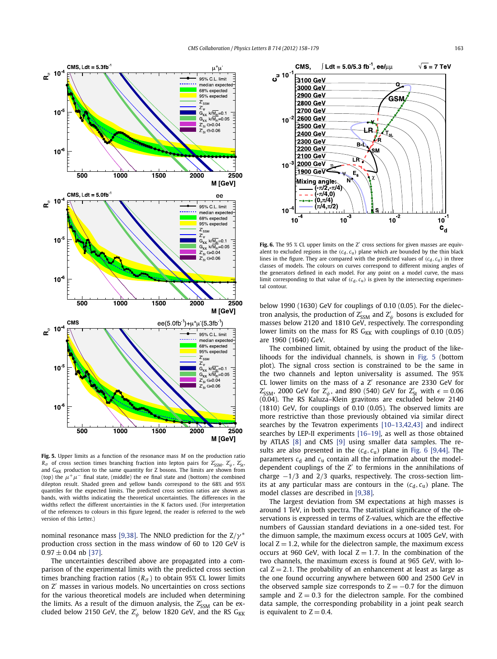<span id="page-5-0"></span>

**Fig. 5.** Upper limits as a function of the resonance mass *M* on the production ratio  $R_{\sigma}$  of cross section times branching fraction into lepton pairs for  $Z'_{\rm SSM}$ ,  $Z'_{\psi}$ ,  $Z'_{\rm St}$ , and  $G_{KK}$  production to the same quantity for Z bosons. The limits are shown from (top) the  $\mu^+\mu^-$  final state, (middle) the ee final state and (bottom) the combined dilepton result. Shaded green and yellow bands correspond to the 68% and 95% quantiles for the expected limits. The predicted cross section ratios are shown as bands, with widths indicating the theoretical uncertainties. The differences in the widths reflect the different uncertainties in the K factors used. (For interpretation of the references to colours in this figure legend, the reader is referred to the web version of this Letter.)

nominal resonance mass [\[9,38\].](#page-6-0) The NNLO prediction for the Z*/γ* <sup>∗</sup> production cross section in the mass window of 60 to 120 GeV is  $0.97 \pm 0.04$  nb [\[37\].](#page-6-0)

The uncertainties described above are propagated into a comparison of the experimental limits with the predicted cross section times branching fraction ratios ( $R_{\sigma}$ ) to obtain 95% CL lower limits on Z' masses in various models. No uncertainties on cross sections for the various theoretical models are included when determining the limits. As a result of the dimuon analysis, the  $Z'_{\rm SSM}$  can be excluded below 2150 GeV, the  $\text{Z}'_{\psi}$  below 1820 GeV, and the RS G<sub>KK</sub>



Fig. 6. The 95 % CL upper limits on the Z' cross sections for given masses are equivalent to excluded regions in the  $(c_d, c_u)$  plane which are bounded by the thin black lines in the figure. They are compared with the predicted values of  $(c_d, c_u)$  in three classes of models. The colours on curves correspond to different mixing angles of the generators defined in each model. For any point on a model curve, the mass limit corresponding to that value of  $(c_d, c_u)$  is given by the intersecting experimental contour.

below 1990 (1630) GeV for couplings of 0.10 (0.05). For the dielectron analysis, the production of Z $'_{\mathsf{SSM}}$  and Z $'_\psi$  bosons is excluded for masses below 2120 and 1810 GeV, respectively. The corresponding lower limits on the mass for RS  $G_{KK}$  with couplings of 0.10 (0.05) are 1960 (1640) GeV.

The combined limit, obtained by using the product of the likelihoods for the individual channels, is shown in Fig. 5 (bottom plot). The signal cross section is constrained to be the same in the two channels and lepton universality is assumed. The 95% CL lower limits on the mass of a  $Z'$  resonance are 2330 GeV for  $Z'_{\rm SSM}$ , 2000 GeV for  $Z'_\psi$ , and 890 (540) GeV for  $Z'_{\rm St}$  with  $\epsilon=0.06$ (0.04). The RS Kaluza–Klein gravitons are excluded below 2140 (1810) GeV, for couplings of 0.10 (0.05). The observed limits are more restrictive than those previously obtained via similar direct searches by the Tevatron experiments [\[10–13,42,43\]](#page-6-0) and indirect searches by LEP-II experiments [\[16–19\],](#page-6-0) as well as those obtained by ATLAS [\[8\]](#page-6-0) and CMS [\[9\]](#page-6-0) using smaller data samples. The results are also presented in the  $(c_d, c_u)$  plane in Fig. 6 [9,44]. The parameters  $c_d$  and  $c_u$  contain all the information about the modeldependent couplings of the  $Z'$  to fermions in the annihilations of charge −1*/*3 and 2*/*3 quarks, respectively. The cross-section limits at any particular mass are contours in the  $(c_d, c_u)$  plane. The model classes are described in [\[9,38\].](#page-6-0)

The largest deviation from SM expectations at high masses is around 1 TeV, in both spectra. The statistical significance of the observations is expressed in terms of Z-values, which are the effective numbers of Gaussian standard deviations in a one-sided test. For the dimuon sample, the maximum excess occurs at 1005 GeV, with local  $Z = 1.2$ , while for the dielectron sample, the maximum excess occurs at 960 GeV, with local  $Z = 1.7$ . In the combination of the two channels, the maximum excess is found at 965 GeV, with local  $Z = 2.1$ . The probability of an enhancement at least as large as the one found occurring anywhere between 600 and 2500 GeV in the observed sample size corresponds to  $Z = -0.7$  for the dimuon sample and  $Z = 0.3$  for the dielectron sample. For the combined data sample, the corresponding probability in a joint peak search is equivalent to  $Z = 0.4$ .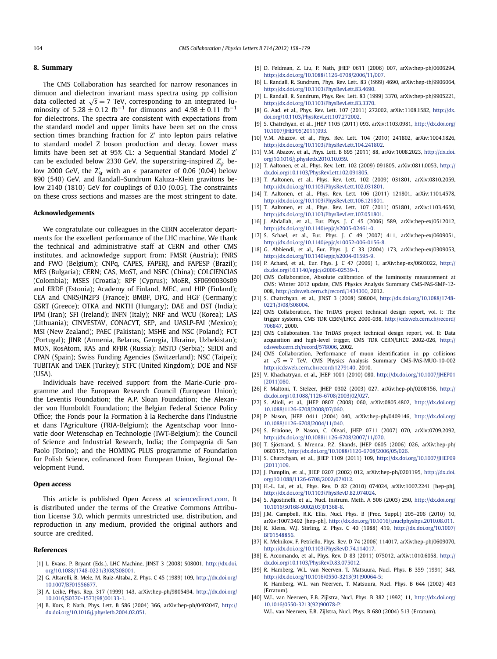#### <span id="page-6-0"></span>**8. Summary**

The CMS Collaboration has searched for narrow resonances in dimuon and dielectron invariant mass spectra using pp collision data collected at  $\sqrt{s}$  = 7 TeV, corresponding to an integrated luminosity of  $5.28 \pm 0.12$  fb<sup>-1</sup> for dimuons and  $4.98 \pm 0.11$  fb<sup>-1</sup> for dielectrons. The spectra are consistent with expectations from the standard model and upper limits have been set on the cross section times branching fraction for  $Z'$  into lepton pairs relative to standard model Z boson production and decay. Lower mass limits have been set at 95% CL: a Sequential Standard Model Z can be excluded below 2330 GeV, the superstring-inspired Z *<sup>ψ</sup>* below 2000 GeV, the  $Z'_{\text{St}}$  with an  $\epsilon$  parameter of 0.06 (0.04) below 890 (540) GeV, and Randall–Sundrum Kaluza–Klein gravitons below 2140 (1810) GeV for couplings of 0.10 (0.05). The constraints on these cross sections and masses are the most stringent to date.

#### **Acknowledgements**

We congratulate our colleagues in the CERN accelerator departments for the excellent performance of the LHC machine. We thank the technical and administrative staff at CERN and other CMS institutes, and acknowledge support from: FMSR (Austria); FNRS and FWO (Belgium); CNPq, CAPES, FAPERJ, and FAPESP (Brazil); MES (Bulgaria); CERN; CAS, MoST, and NSFC (China); COLCIENCIAS (Colombia); MSES (Croatia); RPF (Cyprus); MoER, SF0690030s09 and ERDF (Estonia); Academy of Finland, MEC, and HIP (Finland); CEA and CNRS/IN2P3 (France); BMBF, DFG, and HGF (Germany); GSRT (Greece); OTKA and NKTH (Hungary); DAE and DST (India); IPM (Iran); SFI (Ireland); INFN (Italy); NRF and WCU (Korea); LAS (Lithuania); CINVESTAV, CONACYT, SEP, and UASLP-FAI (Mexico); MSI (New Zealand); PAEC (Pakistan); MSHE and NSC (Poland); FCT (Portugal); JINR (Armenia, Belarus, Georgia, Ukraine, Uzbekistan); MON, RosAtom, RAS and RFBR (Russia); MSTD (Serbia); SEIDI and CPAN (Spain); Swiss Funding Agencies (Switzerland); NSC (Taipei); TUBITAK and TAEK (Turkey); STFC (United Kingdom); DOE and NSF (USA).

Individuals have received support from the Marie-Curie programme and the European Research Council (European Union); the Leventis Foundation; the A.P. Sloan Foundation; the Alexander von Humboldt Foundation; the Belgian Federal Science Policy Office; the Fonds pour la Formation à la Recherche dans l'Industrie et dans l'Agriculture (FRIA-Belgium); the Agentschap voor Innovatie door Wetenschap en Technologie (IWT-Belgium); the Council of Science and Industrial Research, India; the Compagnia di San Paolo (Torino); and the HOMING PLUS programme of Foundation for Polish Science, cofinanced from European Union, Regional Development Fund.

#### **Open access**

This article is published Open Access at [sciencedirect.com](http://www.sciencedirect.com). It is distributed under the terms of the Creative Commons Attribution License 3.0, which permits unrestricted use, distribution, and reproduction in any medium, provided the original authors and source are credited.

#### **References**

- [1] L. Evans, P. Bryant (Eds.), LHC Machine, JINST 3 (2008) S08001, [http://dx.doi.](http://dx.doi.org/10.1088/1748-0221/3/08/S08001) [org/10.1088/1748-0221/3/08/S08001.](http://dx.doi.org/10.1088/1748-0221/3/08/S08001)
- [2] G. Altarelli, B. Mele, M. Ruiz-Altaba, Z. Phys. C 45 (1989) 109, [http://dx.doi.org/](http://dx.doi.org/10.1007/BF01556677) [10.1007/BF01556677.](http://dx.doi.org/10.1007/BF01556677)
- [3] A. Leike, Phys. Rep. 317 (1999) 143, arXiv:hep-ph/9805494, [http://dx.doi.org/](http://dx.doi.org/10.1016/S0370-1573(98)00133-1) [10.1016/S0370-1573\(98\)00133-1.](http://dx.doi.org/10.1016/S0370-1573(98)00133-1)
- [4] B. Kors, P. Nath, Phys. Lett. B 586 (2004) 366, arXiv:hep-ph/0402047, [http://](http://dx.doi.org/10.1016/j.physletb.2004.02.051) [dx.doi.org/10.1016/j.physletb.2004.02.051.](http://dx.doi.org/10.1016/j.physletb.2004.02.051)
- [5] D. Feldman, Z. Liu, P. Nath, JHEP 0611 (2006) 007, arXiv:hep-ph/0606294, <http://dx.doi.org/10.1088/1126-6708/2006/11/007>.
- [6] L. Randall, R. Sundrum, Phys. Rev. Lett. 83 (1999) 4690, arXiv:hep-th/9906064, [http://dx.doi.org/10.1103/PhysRevLett.83.4690.](http://dx.doi.org/10.1103/PhysRevLett.83.4690)
- [7] L. Randall, R. Sundrum, Phys. Rev. Lett. 83 (1999) 3370, arXiv:hep-ph/9905221, [http://dx.doi.org/10.1103/PhysRevLett.83.3370.](http://dx.doi.org/10.1103/PhysRevLett.83.3370)
- [8] G. Aad, et al., Phys. Rev. Lett. 107 (2011) 272002, arXiv:1108.1582, [http://dx.](http://dx.doi.org/10.1103/PhysRevLett.107.272002) [doi.org/10.1103/PhysRevLett.107.272002.](http://dx.doi.org/10.1103/PhysRevLett.107.272002)
- [9] S. Chatrchyan, et al., JHEP 1105 (2011) 093, arXiv:1103.0981, [http://dx.doi.org/](http://dx.doi.org/10.1007/JHEP05(2011)093) [10.1007/JHEP05\(2011\)093.](http://dx.doi.org/10.1007/JHEP05(2011)093)
- [10] V.M. Abazov, et al., Phys. Rev. Lett. 104 (2010) 241802, arXiv:1004.1826, <http://dx.doi.org/10.1103/PhysRevLett.104.241802>.
- [11] V.M. Abazov, et al., Phys. Lett. B 695 (2011) 88, arXiv:1008.2023, [http://dx.doi.](http://dx.doi.org/10.1016/j.physletb.2010.10.059) [org/10.1016/j.physletb.2010.10.059.](http://dx.doi.org/10.1016/j.physletb.2010.10.059)
- [12] T. Aaltonen, et al., Phys. Rev. Lett. 102 (2009) 091805, arXiv:0811.0053, [http://](http://dx.doi.org/10.1103/PhysRevLett.102.091805) [dx.doi.org/10.1103/PhysRevLett.102.091805.](http://dx.doi.org/10.1103/PhysRevLett.102.091805)
- [13] T. Aaltonen, et al., Phys. Rev. Lett. 102 (2009) 031801, arXiv:0810.2059, <http://dx.doi.org/10.1103/PhysRevLett.102.031801>.
- [14] T. Aaltonen, et al., Phys. Rev. Lett. 106 (2011) 121801, arXiv:1101.4578, [http://dx.doi.org/10.1103/PhysRevLett.106.121801.](http://dx.doi.org/10.1103/PhysRevLett.106.121801)
- [15] T. Aaltonen, et al., Phys. Rev. Lett. 107 (2011) 051801, arXiv:1103.4650, [http://dx.doi.org/10.1103/PhysRevLett.107.051801.](http://dx.doi.org/10.1103/PhysRevLett.107.051801)
- [16] J. Abdallah, et al., Eur. Phys. J. C 45 (2006) 589, arXiv:hep-ex/0512012, [http://dx.doi.org/10.1140/epjc/s2005-02461-0.](http://dx.doi.org/10.1140/epjc/s2005-02461-0)
- [17] S. Schael, et al., Eur. Phys. J. C 49 (2007) 411, arXiv:hep-ex/0609051, <http://dx.doi.org/10.1140/epjc/s10052-006-0156-8>.
- [18] G. Abbiendi, et al., Eur. Phys. J. C 33 (2004) 173, arXiv:hep-ex/0309053, [http://dx.doi.org/10.1140/epjc/s2004-01595-9.](http://dx.doi.org/10.1140/epjc/s2004-01595-9)
- [19] P. Achard, et al., Eur. Phys. J. C 47 (2006) 1, arXiv:hep-ex/0603022, [http://](http://dx.doi.org/10.1140/epjc/s2006-02539-1) [dx.doi.org/10.1140/epjc/s2006-02539-1.](http://dx.doi.org/10.1140/epjc/s2006-02539-1)
- [20] CMS Collaboration, Absolute calibration of the luminosity measurement at CMS: Winter 2012 update, CMS Physics Analysis Summary CMS-PAS-SMP-12- 008, <http://cdsweb.cern.ch/record/1434360>, 2012.
- [21] S. Chatrchyan, et al., JINST 3 (2008) S08004, [http://dx.doi.org/10.1088/1748-](http://dx.doi.org/10.1088/1748-0221/3/08/S08004) [0221/3/08/S08004.](http://dx.doi.org/10.1088/1748-0221/3/08/S08004)
- [22] CMS Collaboration, The TriDAS project technical design report, vol. I: The trigger systems, CMS TDR CERN/LHCC 2000-038, [http://cdsweb.cern.ch/record/](http://cdsweb.cern.ch/record/706847) [706847,](http://cdsweb.cern.ch/record/706847) 2000.
- [23] CMS Collaboration, The TriDAS project technical design report, vol. II: Data acquisition and high-level trigger, CMS TDR CERN/LHCC 2002-026, [http://](http://cdsweb.cern.ch/record/578006) [cdsweb.cern.ch/record/578006,](http://cdsweb.cern.ch/record/578006) 2002.
- [24] CMS Collaboration, Performance of muon identification in pp collisions at <sup>√</sup>*<sup>s</sup>* <sup>=</sup> 7 TeV, CMS Physics Analysis Summary CMS-PAS-MUO-10-002 <http://cdsweb.cern.ch/record/1279140>, 2010.
- [25] V. Khachatryan, et al., JHEP 1001 (2010) 080, [http://dx.doi.org/10.1007/JHEP01](http://dx.doi.org/10.1007/JHEP01(2011)080) [\(2011\)080.](http://dx.doi.org/10.1007/JHEP01(2011)080)
- [26] F. Maltoni, T. Stelzer, JHEP 0302 (2003) 027, arXiv:hep-ph/0208156, [http://](http://dx.doi.org/10.1088/1126-6708/2003/02/027) [dx.doi.org/10.1088/1126-6708/2003/02/027.](http://dx.doi.org/10.1088/1126-6708/2003/02/027)
- [27] S. Alioli, et al., JHEP 0807 (2008) 060, arXiv:0805.4802, [http://dx.doi.org/](http://dx.doi.org/10.1088/1126-6708/2008/07/060) [10.1088/1126-6708/2008/07/060.](http://dx.doi.org/10.1088/1126-6708/2008/07/060)
- [28] P. Nason, JHEP 0411 (2004) 040, arXiv:hep-ph/0409146, [http://dx.doi.org/](http://dx.doi.org/10.1088/1126-6708/2004/11/040) [10.1088/1126-6708/2004/11/040.](http://dx.doi.org/10.1088/1126-6708/2004/11/040)
- [29] S. Frixione, P. Nason, C. Oleari, JHEP 0711 (2007) 070, arXiv:0709.2092, <http://dx.doi.org/10.1088/1126-6708/2007/11/070>.
- [30] T. Sjöstrand, S. Mrenna, P.Z. Skands, JHEP 0605 (2006) 026, arXiv:hep-ph/ 0603175, [http://dx.doi.org/10.1088/1126-6708/2006/05/026.](http://dx.doi.org/10.1088/1126-6708/2006/05/026)
- [31] S. Chatrchyan, et al., JHEP 1109 (2011) 109, [http://dx.doi.org/10.1007/JHEP09](http://dx.doi.org/10.1007/JHEP09(2011)109) [\(2011\)109.](http://dx.doi.org/10.1007/JHEP09(2011)109)
- [32] J. Pumplin, et al., JHEP 0207 (2002) 012, arXiv:hep-ph/0201195, [http://dx.doi.](http://dx.doi.org/10.1088/1126-6708/2002/07/012) [org/10.1088/1126-6708/2002/07/012.](http://dx.doi.org/10.1088/1126-6708/2002/07/012)
- [33] H.-L. Lai, et al., Phys. Rev. D 82 (2010) 074024, arXiv:1007.2241 [hep-ph], <http://dx.doi.org/10.1103/PhysRevD.82.074024>.
- [34] S. Agostinelli, et al., Nucl. Instrum. Meth. A 506 (2003) 250, [http://dx.doi.org/](http://dx.doi.org/10.1016/S0168-9002(03)01368-8) [10.1016/S0168-9002\(03\)01368-8.](http://dx.doi.org/10.1016/S0168-9002(03)01368-8)
- [35] J.M. Campbell, R.K. Ellis, Nucl. Phys. B (Proc. Suppl.) 205–206 (2010) 10, arXiv:1007.3492 [hep-ph], [http://dx.doi.org/10.1016/j.nuclphysbps.2010.08.011.](http://dx.doi.org/10.1016/j.nuclphysbps.2010.08.011)
- [36] R. Kleiss, W.J. Stirling, Z. Phys. C 40 (1988) 419, [http://dx.doi.org/10.1007/](http://dx.doi.org/10.1007/BF01548856) [BF01548856.](http://dx.doi.org/10.1007/BF01548856)
- [37] K. Melnikov, F. Petriello, Phys. Rev. D 74 (2006) 114017, arXiv:hep-ph/0609070, [http://dx.doi.org/10.1103/PhysRevD.74.114017.](http://dx.doi.org/10.1103/PhysRevD.74.114017)
- [38] E. Accomando, et al., Phys. Rev. D 83 (2011) 075012, arXiv:1010.6058, [http://](http://dx.doi.org/10.1103/PhysRevD.83.075012) [dx.doi.org/10.1103/PhysRevD.83.075012.](http://dx.doi.org/10.1103/PhysRevD.83.075012)
- [39] R. Hamberg, W.L. van Neerven, T. Matsuura, Nucl. Phys. B 359 (1991) 343, [http://dx.doi.org/10.1016/0550-3213\(91\)90064-5](http://dx.doi.org/10.1016/0550-3213(91)90064-5); R. Hamberg, W.L. van Neerven, T. Matsuura, Nucl. Phys. B 644 (2002) 403
- (Erratum). [40] W.L. van Neerven, E.B. Zijlstra, Nucl. Phys. B 382 (1992) 11, [http://dx.doi.org/](http://dx.doi.org/10.1016/0550-3213(92)90078-P) [10.1016/0550-3213\(92\)90078-P;](http://dx.doi.org/10.1016/0550-3213(92)90078-P)
	- W.L. van Neerven, E.B. Zijlstra, Nucl. Phys. B 680 (2004) 513 (Erratum).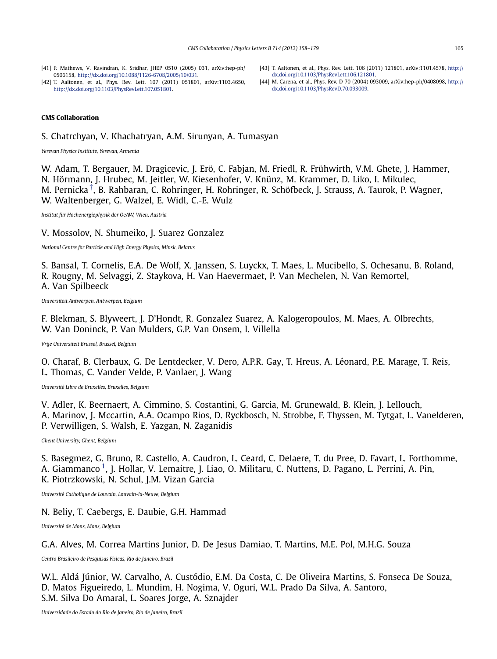- <span id="page-7-0"></span>[41] P. Mathews, V. Ravindran, K. Sridhar, JHEP 0510 (2005) 031, arXiv:hep-ph/ 0506158, [http://dx.doi.org/10.1088/1126-6708/2005/10/031.](http://dx.doi.org/10.1088/1126-6708/2005/10/031)
- [42] T. Aaltonen, et al., Phys. Rev. Lett. 107 (2011) 051801, arXiv:1103.4650, <http://dx.doi.org/10.1103/PhysRevLett.107.051801>.
- [43] T. Aaltonen, et al., Phys. Rev. Lett. 106 (2011) 121801, arXiv:1101.4578, [http://](http://dx.doi.org/10.1103/PhysRevLett.106.121801) [dx.doi.org/10.1103/PhysRevLett.106.121801.](http://dx.doi.org/10.1103/PhysRevLett.106.121801)
- [44] M. Carena, et al., Phys. Rev. D 70 (2004) 093009, arXiv:hep-ph/0408098, [http://](http://dx.doi.org/10.1103/PhysRevD.70.093009) [dx.doi.org/10.1103/PhysRevD.70.093009.](http://dx.doi.org/10.1103/PhysRevD.70.093009)

#### **CMS Collaboration**

S. Chatrchyan, V. Khachatryan, A.M. Sirunyan, A. Tumasyan

*Yerevan Physics Institute, Yerevan, Armenia*

W. Adam, T. Bergauer, M. Dragicevic, J. Erö, C. Fabjan, M. Friedl, R. Frühwirth, V.M. Ghete, J. Hammer, N. Hörmann, J. Hrubec, M. Jeitler, W. Kiesenhofer, V. Knünz, M. Krammer, D. Liko, I. Mikulec, M. Pernicka [†,](#page-20-0) B. Rahbaran, C. Rohringer, H. Rohringer, R. Schöfbeck, J. Strauss, A. Taurok, P. Wagner, W. Waltenberger, G. Walzel, E. Widl, C.-E. Wulz

*Institut für Hochenergiephysik der OeAW, Wien, Austria*

#### V. Mossolov, N. Shumeiko, J. Suarez Gonzalez

*National Centre for Particle and High Energy Physics, Minsk, Belarus*

S. Bansal, T. Cornelis, E.A. De Wolf, X. Janssen, S. Luyckx, T. Maes, L. Mucibello, S. Ochesanu, B. Roland, R. Rougny, M. Selvaggi, Z. Staykova, H. Van Haevermaet, P. Van Mechelen, N. Van Remortel, A. Van Spilbeeck

*Universiteit Antwerpen, Antwerpen, Belgium*

F. Blekman, S. Blyweert, J. D'Hondt, R. Gonzalez Suarez, A. Kalogeropoulos, M. Maes, A. Olbrechts, W. Van Doninck, P. Van Mulders, G.P. Van Onsem, I. Villella

*Vrije Universiteit Brussel, Brussel, Belgium*

O. Charaf, B. Clerbaux, G. De Lentdecker, V. Dero, A.P.R. Gay, T. Hreus, A. Léonard, P.E. Marage, T. Reis, L. Thomas, C. Vander Velde, P. Vanlaer, J. Wang

*Université Libre de Bruxelles, Bruxelles, Belgium*

V. Adler, K. Beernaert, A. Cimmino, S. Costantini, G. Garcia, M. Grunewald, B. Klein, J. Lellouch, A. Marinov, J. Mccartin, A.A. Ocampo Rios, D. Ryckbosch, N. Strobbe, F. Thyssen, M. Tytgat, L. Vanelderen, P. Verwilligen, S. Walsh, E. Yazgan, N. Zaganidis

*Ghent University, Ghent, Belgium*

S. Basegmez, G. Bruno, R. Castello, A. Caudron, L. Ceard, C. Delaere, T. du Pree, D. Favart, L. Forthomme, A. Giammanco<sup>1</sup>, J. Hollar, V. Lemaitre, J. Liao, O. Militaru, C. Nuttens, D. Pagano, L. Perrini, A. Pin, K. Piotrzkowski, N. Schul, J.M. Vizan Garcia

*Université Catholique de Louvain, Louvain-la-Neuve, Belgium*

## N. Beliy, T. Caebergs, E. Daubie, G.H. Hammad

*Université de Mons, Mons, Belgium*

G.A. Alves, M. Correa Martins Junior, D. De Jesus Damiao, T. Martins, M.E. Pol, M.H.G. Souza

*Centro Brasileiro de Pesquisas Fisicas, Rio de Janeiro, Brazil*

W.L. Aldá Júnior, W. Carvalho, A. Custódio, E.M. Da Costa, C. De Oliveira Martins, S. Fonseca De Souza, D. Matos Figueiredo, L. Mundim, H. Nogima, V. Oguri, W.L. Prado Da Silva, A. Santoro, S.M. Silva Do Amaral, L. Soares Jorge, A. Sznajder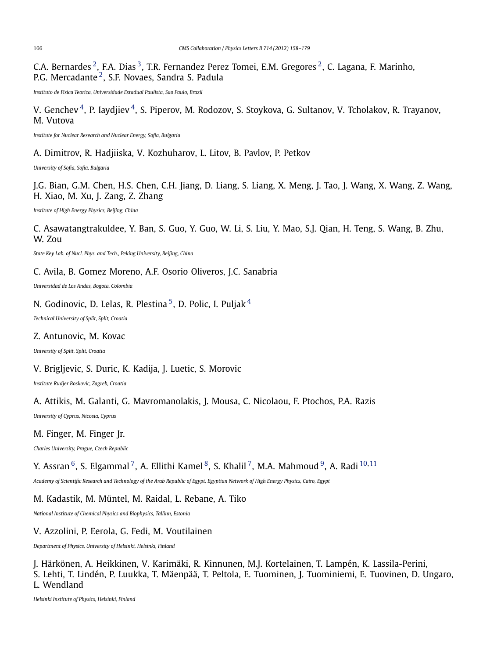C.A. Bernardes<sup>[2](#page-20-0)</sup>, F.A. Dias<sup>[3](#page-20-0)</sup>, T.R. Fernandez Perez Tomei, E.M. Gregores<sup>2</sup>, C. Lagana, F. Marinho, P.G. Mercadante [2,](#page-20-0) S.F. Novaes, Sandra S. Padula

*Instituto de Fisica Teorica, Universidade Estadual Paulista, Sao Paulo, Brazil*

V. Genchev<sup>[4](#page-20-0)</sup>, P. Iaydijev<sup>4</sup>, S. Piperov, M. Rodozov, S. Stoykova, G. Sultanov, V. Tcholakov, R. Trayanov, M. Vutova

*Institute for Nuclear Research and Nuclear Energy, Sofia, Bulgaria*

#### A. Dimitrov, R. Hadjiiska, V. Kozhuharov, L. Litov, B. Pavlov, P. Petkov

*University of Sofia, Sofia, Bulgaria*

J.G. Bian, G.M. Chen, H.S. Chen, C.H. Jiang, D. Liang, S. Liang, X. Meng, J. Tao, J. Wang, X. Wang, Z. Wang, H. Xiao, M. Xu, J. Zang, Z. Zhang

*Institute of High Energy Physics, Beijing, China*

C. Asawatangtrakuldee, Y. Ban, S. Guo, Y. Guo, W. Li, S. Liu, Y. Mao, S.J. Qian, H. Teng, S. Wang, B. Zhu, W. Zou

*State Key Lab. of Nucl. Phys. and Tech., Peking University, Beijing, China*

#### C. Avila, B. Gomez Moreno, A.F. Osorio Oliveros, J.C. Sanabria

*Universidad de Los Andes, Bogota, Colombia*

## N. Godinovic, D. Lelas, R. Plestina<sup>5</sup>, D. Polic, I. Puljak<sup>[4](#page-20-0)</sup>

*Technical University of Split, Split, Croatia*

#### Z. Antunovic, M. Kovac

*University of Split, Split, Croatia*

## V. Brigljevic, S. Duric, K. Kadija, J. Luetic, S. Morovic

*Institute Rudjer Boskovic, Zagreb, Croatia*

## A. Attikis, M. Galanti, G. Mavromanolakis, J. Mousa, C. Nicolaou, F. Ptochos, P.A. Razis

*University of Cyprus, Nicosia, Cyprus*

#### M. Finger, M. Finger Jr.

*Charles University, Prague, Czech Republic*

## Y. Assran <sup>6</sup>, S. Elgammal <sup>[7](#page-20-0)</sup>, A. Ellithi Kamel <sup>8</sup>, S. Khalil <sup>7</sup>, M.A. Mahmoud <sup>9</sup>, A. Radi <sup>[10](#page-20-0),[11](#page-20-0)</sup>

*Academy of Scientific Research and Technology of the Arab Republic of Egypt, Egyptian Network of High Energy Physics, Cairo, Egypt*

#### M. Kadastik, M. Müntel, M. Raidal, L. Rebane, A. Tiko

*National Institute of Chemical Physics and Biophysics, Tallinn, Estonia*

#### V. Azzolini, P. Eerola, G. Fedi, M. Voutilainen

*Department of Physics, University of Helsinki, Helsinki, Finland*

J. Härkönen, A. Heikkinen, V. Karimäki, R. Kinnunen, M.J. Kortelainen, T. Lampén, K. Lassila-Perini, S. Lehti, T. Lindén, P. Luukka, T. Mäenpää, T. Peltola, E. Tuominen, J. Tuominiemi, E. Tuovinen, D. Ungaro, L. Wendland

*Helsinki Institute of Physics, Helsinki, Finland*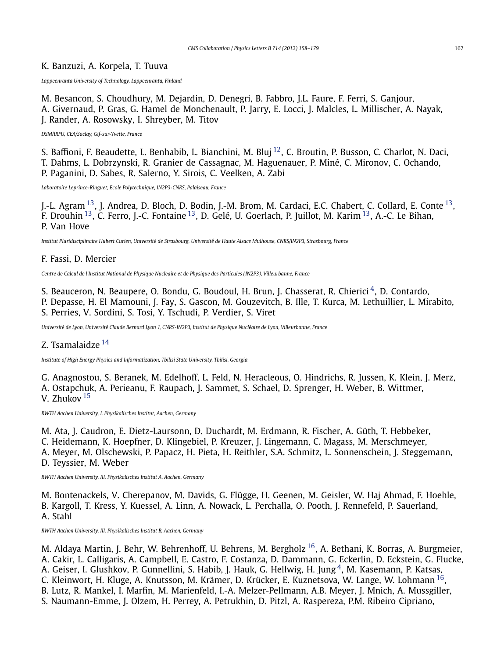## K. Banzuzi, A. Korpela, T. Tuuva

*Lappeenranta University of Technology, Lappeenranta, Finland*

M. Besancon, S. Choudhury, M. Dejardin, D. Denegri, B. Fabbro, J.L. Faure, F. Ferri, S. Ganjour, A. Givernaud, P. Gras, G. Hamel de Monchenault, P. Jarry, E. Locci, J. Malcles, L. Millischer, A. Nayak, J. Rander, A. Rosowsky, I. Shreyber, M. Titov

*DSM/IRFU, CEA/Saclay, Gif-sur-Yvette, France*

S. Baffioni, F. Beaudette, L. Benhabib, L. Bianchini, M. Bluj [12](#page-20-0), C. Broutin, P. Busson, C. Charlot, N. Daci, T. Dahms, L. Dobrzynski, R. Granier de Cassagnac, M. Haguenauer, P. Miné, C. Mironov, C. Ochando, P. Paganini, D. Sabes, R. Salerno, Y. Sirois, C. Veelken, A. Zabi

*Laboratoire Leprince-Ringuet, Ecole Polytechnique, IN2P3-CNRS, Palaiseau, France*

J.-L. Agram <sup>13</sup>, J. Andrea, D. Bloch, D. Bodin, J.-M. Brom, M. Cardaci, E.C. Chabert, C. Collard, E. Conte <sup>13</sup>, F. Drouhin [13,](#page-20-0) C. Ferro, J.-C. Fontaine [13,](#page-20-0) D. Gelé, U. Goerlach, P. Juillot, M. Karim [13,](#page-20-0) A.-C. Le Bihan, P. Van Hove

*Institut Pluridisciplinaire Hubert Curien, Université de Strasbourg, Université de Haute Alsace Mulhouse, CNRS/IN2P3, Strasbourg, France*

#### F. Fassi, D. Mercier

*Centre de Calcul de l'Institut National de Physique Nucleaire et de Physique des Particules (IN2P3), Villeurbanne, France*

S. Beauceron, N. Beaupere, O. Bondu, G. Boudoul, H. Brun, J. Chasserat, R. Chierici<sup>4</sup>, D. Contardo, P. Depasse, H. El Mamouni, J. Fay, S. Gascon, M. Gouzevitch, B. Ille, T. Kurca, M. Lethuillier, L. Mirabito, S. Perries, V. Sordini, S. Tosi, Y. Tschudi, P. Verdier, S. Viret

*Université de Lyon, Université Claude Bernard Lyon 1, CNRS-IN2P3, Institut de Physique Nucléaire de Lyon, Villeurbanne, France*

## Z. Tsamalaidze [14](#page-20-0)

*Institute of High Energy Physics and Informatization, Tbilisi State University, Tbilisi, Georgia*

G. Anagnostou, S. Beranek, M. Edelhoff, L. Feld, N. Heracleous, O. Hindrichs, R. Jussen, K. Klein, J. Merz, A. Ostapchuk, A. Perieanu, F. Raupach, J. Sammet, S. Schael, D. Sprenger, H. Weber, B. Wittmer, V. Zhukov [15](#page-20-0)

*RWTH Aachen University, I. Physikalisches Institut, Aachen, Germany*

M. Ata, J. Caudron, E. Dietz-Laursonn, D. Duchardt, M. Erdmann, R. Fischer, A. Güth, T. Hebbeker, C. Heidemann, K. Hoepfner, D. Klingebiel, P. Kreuzer, J. Lingemann, C. Magass, M. Merschmeyer, A. Meyer, M. Olschewski, P. Papacz, H. Pieta, H. Reithler, S.A. Schmitz, L. Sonnenschein, J. Steggemann, D. Teyssier, M. Weber

*RWTH Aachen University, III. Physikalisches Institut A, Aachen, Germany*

M. Bontenackels, V. Cherepanov, M. Davids, G. Flügge, H. Geenen, M. Geisler, W. Haj Ahmad, F. Hoehle, B. Kargoll, T. Kress, Y. Kuessel, A. Linn, A. Nowack, L. Perchalla, O. Pooth, J. Rennefeld, P. Sauerland, A. Stahl

*RWTH Aachen University, III. Physikalisches Institut B, Aachen, Germany*

M. Aldaya Martin, J. Behr, W. Behrenhoff, U. Behrens, M. Bergholz <sup>16</sup>, A. Bethani, K. Borras, A. Burgmeier, A. Cakir, L. Calligaris, A. Campbell, E. Castro, F. Costanza, D. Dammann, G. Eckerlin, D. Eckstein, G. Flucke, A. Geiser, I. Glushkov, P. Gunnellini, S. Habib, J. Hauk, G. Hellwig, H. Jung<sup>4</sup>, M. Kasemann, P. Katsas, C. Kleinwort, H. Kluge, A. Knutsson, M. Krämer, D. Krücker, E. Kuznetsova, W. Lange, W. Lohmann [16,](#page-20-0) B. Lutz, R. Mankel, I. Marfin, M. Marienfeld, I.-A. Melzer-Pellmann, A.B. Meyer, J. Mnich, A. Mussgiller, S. Naumann-Emme, J. Olzem, H. Perrey, A. Petrukhin, D. Pitzl, A. Raspereza, P.M. Ribeiro Cipriano,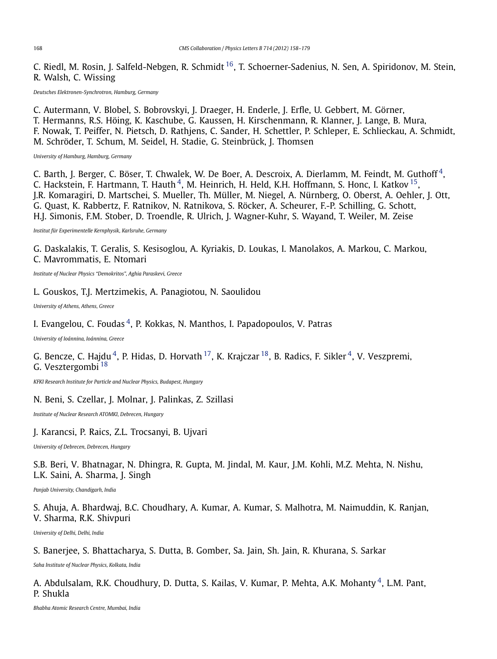C. Riedl, M. Rosin, J. Salfeld-Nebgen, R. Schmidt<sup>16</sup>, T. Schoerner-Sadenius, N. Sen, A. Spiridonov, M. Stein, R. Walsh, C. Wissing

*Deutsches Elektronen-Synchrotron, Hamburg, Germany*

C. Autermann, V. Blobel, S. Bobrovskyi, J. Draeger, H. Enderle, J. Erfle, U. Gebbert, M. Görner, T. Hermanns, R.S. Höing, K. Kaschube, G. Kaussen, H. Kirschenmann, R. Klanner, J. Lange, B. Mura, F. Nowak, T. Peiffer, N. Pietsch, D. Rathjens, C. Sander, H. Schettler, P. Schleper, E. Schlieckau, A. Schmidt, M. Schröder, T. Schum, M. Seidel, H. Stadie, G. Steinbrück, J. Thomsen

*University of Hamburg, Hamburg, Germany*

C. Barth, J. Berger, C. Böser, T. Chwalek, W. De Boer, A. Descroix, A. Dierlamm, M. Feindt, M. Guthoff<sup>4</sup>. C. Hackstein, F. Hartmann, T. Hauth<sup>4</sup>, M. Heinrich, H. Held, K.H. Hoffmann, S. Honc, I. Katkov <sup>15</sup>, J.R. Komaragiri, D. Martschei, S. Mueller, Th. Müller, M. Niegel, A. Nürnberg, O. Oberst, A. Oehler, J. Ott, G. Quast, K. Rabbertz, F. Ratnikov, N. Ratnikova, S. Röcker, A. Scheurer, F.-P. Schilling, G. Schott, H.J. Simonis, F.M. Stober, D. Troendle, R. Ulrich, J. Wagner-Kuhr, S. Wayand, T. Weiler, M. Zeise

*Institut für Experimentelle Kernphysik, Karlsruhe, Germany*

G. Daskalakis, T. Geralis, S. Kesisoglou, A. Kyriakis, D. Loukas, I. Manolakos, A. Markou, C. Markou, C. Mavrommatis, E. Ntomari

*Institute of Nuclear Physics "Demokritos", Aghia Paraskevi, Greece*

L. Gouskos, T.J. Mertzimekis, A. Panagiotou, N. Saoulidou

*University of Athens, Athens, Greece*

I. Evangelou, C. Foudas<sup> $4$ </sup>, P. Kokkas, N. Manthos, I. Papadopoulos, V. Patras

*University of Ioánnina, Ioánnina, Greece*

G. Bencze, C. Hajdu<sup>4</sup>, P. Hidas, D. Horvath<sup>17</sup>, K. Krajczar<sup>18</sup>, B. Radics, F. Sikler<sup>4</sup>, V. Veszpremi, G. Vesztergombi [18](#page-20-0)

*KFKI Research Institute for Particle and Nuclear Physics, Budapest, Hungary*

N. Beni, S. Czellar, J. Molnar, J. Palinkas, Z. Szillasi

*Institute of Nuclear Research ATOMKI, Debrecen, Hungary*

J. Karancsi, P. Raics, Z.L. Trocsanyi, B. Ujvari

*University of Debrecen, Debrecen, Hungary*

S.B. Beri, V. Bhatnagar, N. Dhingra, R. Gupta, M. Jindal, M. Kaur, J.M. Kohli, M.Z. Mehta, N. Nishu, L.K. Saini, A. Sharma, J. Singh

*Panjab University, Chandigarh, India*

S. Ahuja, A. Bhardwaj, B.C. Choudhary, A. Kumar, A. Kumar, S. Malhotra, M. Naimuddin, K. Ranjan, V. Sharma, R.K. Shivpuri

*University of Delhi, Delhi, India*

S. Banerjee, S. Bhattacharya, S. Dutta, B. Gomber, Sa. Jain, Sh. Jain, R. Khurana, S. Sarkar

*Saha Institute of Nuclear Physics, Kolkata, India*

A. Abdulsalam, R.K. Choudhury, D. Dutta, S. Kailas, V. Kumar, P. Mehta, A.K. Mohanty<sup>4</sup>, L.M. Pant, P. Shukla

*Bhabha Atomic Research Centre, Mumbai, India*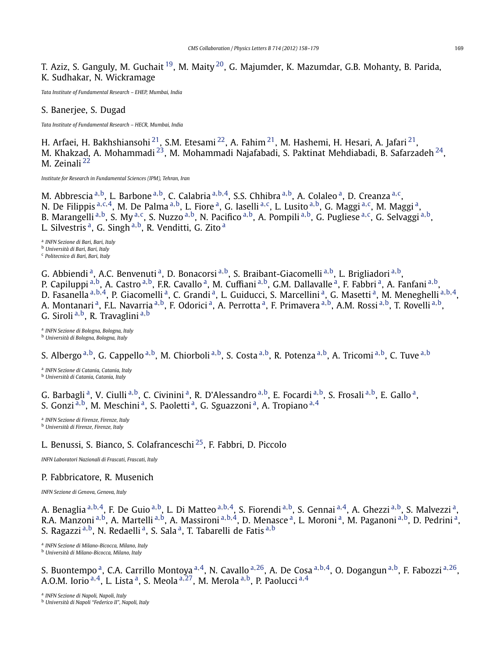T. Aziz, S. Ganguly, M. Guchait  $19$ , M. Maity  $20$ , G. Majumder, K. Mazumdar, G.B. Mohanty, B. Parida, K. Sudhakar, N. Wickramage

*Tata Institute of Fundamental Research – EHEP, Mumbai, India*

#### S. Banerjee, S. Dugad

*Tata Institute of Fundamental Research – HECR, Mumbai, India*

H. Arfaei, H. Bakhshiansohi<sup>21</sup>, S.M. Etesami<sup>22</sup>, A. Fahim<sup>21</sup>, M. Hashemi, H. Hesari, A. Jafari<sup>21</sup>, M. Khakzad, A. Mohammadi<sup>23</sup>, M. Mohammadi Najafabadi, S. Paktinat Mehdiabadi, B. Safarzadeh<sup>24</sup>, M. Zeinali [22](#page-20-0)

*Institute for Research in Fundamental Sciences (IPM), Tehran, Iran*

M. Abbrescia <sup>a</sup>*,*b, L. Barbone <sup>a</sup>*,*b, C. Calabria <sup>a</sup>*,*b*,*[4,](#page-20-0) S.S. Chhibra <sup>a</sup>*,*b, A. Colaleo a, D. Creanza <sup>a</sup>*,*c, N. De Filippis <sup>a</sup>*,*c*,*[4,](#page-20-0) M. De Palma <sup>a</sup>*,*b, L. Fiore a, G. Iaselli <sup>a</sup>*,*c, L. Lusito <sup>a</sup>*,*b, G. Maggi <sup>a</sup>*,*c, M. Maggi a, B. Marangelli <sup>a</sup>*,*b, S. My <sup>a</sup>*,*c, S. Nuzzo <sup>a</sup>*,*b, N. Pacifico <sup>a</sup>*,*b, A. Pompili <sup>a</sup>*,*b, G. Pugliese <sup>a</sup>*,*c, G. Selvaggi <sup>a</sup>*,*b, L. Silvestris a, G. Singh <sup>a</sup>*,*b, R. Venditti, G. Zito <sup>a</sup>

<sup>a</sup> *INFN Sezione di Bari, Bari, Italy* <sup>b</sup> *Università di Bari, Bari, Italy*

<sup>c</sup> *Politecnico di Bari, Bari, Italy*

G. Abbiendi<sup>a</sup>, A.C. Benvenuti<sup>a</sup>, D. Bonacorsi<sup>a,b</sup>, S. Braibant-Giacomelli<sup>a,b</sup>, L. Brigliadori<sup>a,b</sup>, P. Capiluppi <sup>a</sup>*,*b, A. Castro <sup>a</sup>*,*b, F.R. Cavallo a, M. Cuffiani <sup>a</sup>*,*b, G.M. Dallavalle a, F. Fabbri a, A. Fanfani <sup>a</sup>*,*b, D. Fasanella <sup>a</sup>*,*b*,*[4,](#page-20-0) P. Giacomelli a, C. Grandi a, L. Guiducci, S. Marcellini a, G. Masetti a, M. Meneghelli <sup>a</sup>*,*b*,*[4,](#page-20-0) A. Montanari a, F.L. Navarria <sup>a</sup>*,*b, F. Odorici a, A. Perrotta a, F. Primavera <sup>a</sup>*,*b, A.M. Rossi <sup>a</sup>*,*b, T. Rovelli <sup>a</sup>*,*b, G. Siroli <sup>a</sup>*,*b, R. Travaglini <sup>a</sup>*,*<sup>b</sup>

<sup>a</sup> *INFN Sezione di Bologna, Bologna, Italy* <sup>b</sup> *Università di Bologna, Bologna, Italy*

S. Albergo <sup>a</sup>*,*b, G. Cappello <sup>a</sup>*,*b, M. Chiorboli <sup>a</sup>*,*b, S. Costa <sup>a</sup>*,*b, R. Potenza <sup>a</sup>*,*b, A. Tricomi <sup>a</sup>*,*b, C. Tuve <sup>a</sup>*,*<sup>b</sup>

<sup>a</sup> *INFN Sezione di Catania, Catania, Italy*

<sup>b</sup> *Università di Catania, Catania, Italy*

G. Barbagli a, V. Ciulli <sup>a</sup>*,*b, C. Civinini a, R. D'Alessandro <sup>a</sup>*,*b, E. Focardi <sup>a</sup>*,*b, S. Frosali <sup>a</sup>*,*b, E. Gallo a, S. Gonzi <sup>a</sup>*,*b, M. Meschini a, S. Paoletti a, G. Sguazzoni a, A. Tropiano <sup>a</sup>*,*[4](#page-20-0)

<sup>a</sup> *INFN Sezione di Firenze, Firenze, Italy* <sup>b</sup> *Università di Firenze, Firenze, Italy*

## L. Benussi, S. Bianco, S. Colafranceschi [25,](#page-20-0) F. Fabbri, D. Piccolo

*INFN Laboratori Nazionali di Frascati, Frascati, Italy*

#### P. Fabbricatore, R. Musenich

*INFN Sezione di Genova, Genova, Italy*

A. Benaglia <sup>a</sup>*,*b*,*[4,](#page-20-0) F. De Guio <sup>a</sup>*,*b, L. Di Matteo <sup>a</sup>*,*b*,*[4,](#page-20-0) S. Fiorendi <sup>a</sup>*,*b, S. Gennai <sup>a</sup>*,*[4,](#page-20-0) A. Ghezzi <sup>a</sup>*,*b, S. Malvezzi a, R.A. Manzoni <sup>a</sup>*,*b, A. Martelli <sup>a</sup>*,*b, A. Massironi <sup>a</sup>*,*b*,*[4,](#page-20-0) D. Menasce a, L. Moroni a, M. Paganoni <sup>a</sup>*,*b, D. Pedrini a, S. Ragazzi <sup>a</sup>*,*b, N. Redaelli a, S. Sala a, T. Tabarelli de Fatis <sup>a</sup>*,*<sup>b</sup>

<sup>a</sup> *INFN Sezione di Milano-Bicocca, Milano, Italy*

<sup>b</sup> *Università di Milano-Bicocca, Milano, Italy*

S. Buontempo a, C.A. Carrillo Montoya <sup>a</sup>*,*[4,](#page-20-0) N. Cavallo <sup>a</sup>*,*[26,](#page-20-0) A. De Cosa <sup>a</sup>*,*b*,*[4,](#page-20-0) O. Dogangun <sup>a</sup>*,*b, F. Fabozzi <sup>a</sup>*,*[26,](#page-20-0) A.O.M. Iorio <sup>a</sup>*,*[4,](#page-20-0) L. Lista a, S. Meola <sup>a</sup>*,*[27,](#page-20-0) M. Merola <sup>a</sup>*,*b, P. Paolucci <sup>a</sup>*,*[4](#page-20-0)

<sup>a</sup> *INFN Sezione di Napoli, Napoli, Italy*

<sup>b</sup> *Università di Napoli "Federico II", Napoli, Italy*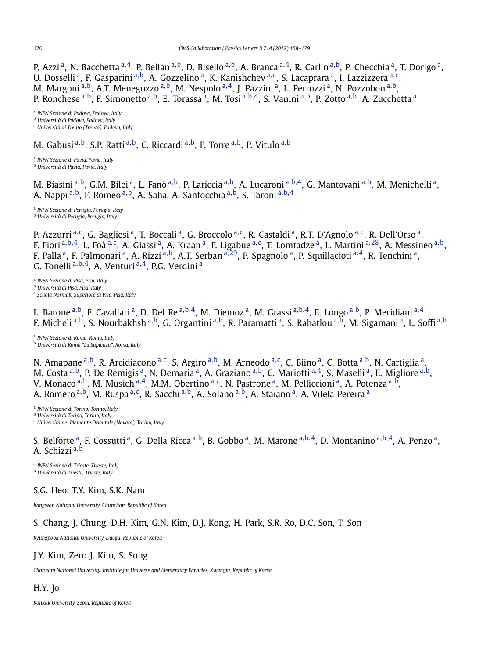P. Azzi a, N. Bacchetta <sup>a</sup>*,*[4,](#page-20-0) P. Bellan <sup>a</sup>*,*b, D. Bisello <sup>a</sup>*,*b, A. Branca <sup>a</sup>*,*[4,](#page-20-0) R. Carlin <sup>a</sup>*,*b, P. Checchia a, T. Dorigo a, U. Dosselli<sup>a</sup>, F. Gasparini<sup>a,b</sup>, A. Gozzelino<sup>a</sup>, K. Kanishchev<sup>a,c</sup>, S. Lacaprara<sup>a</sup>, I. Lazzizzera<sup>a,c</sup>, M. Margoni <sup>a</sup>*,*b, A.T. Meneguzzo <sup>a</sup>*,*b, M. Nespolo <sup>a</sup>*,*[4,](#page-20-0) J. Pazzini a, L. Perrozzi a, N. Pozzobon <sup>a</sup>*,*b, P. Ronchese <sup>a</sup>*,*b, F. Simonetto <sup>a</sup>*,*b, E. Torassa a, M. Tosi <sup>a</sup>*,*b*,*[4](#page-20-0), S. Vanini <sup>a</sup>*,*b, P. Zotto <sup>a</sup>*,*b, A. Zucchetta <sup>a</sup>

<sup>a</sup> *INFN Sezione di Padova, Padova, Italy*

<sup>b</sup> *Università di Padova, Padova, Italy*

<sup>c</sup> *Università di Trento (Trento), Padova, Italy*

M. Gabusi <sup>a</sup>*,*b, S.P. Ratti <sup>a</sup>*,*b, C. Riccardi <sup>a</sup>*,*b, P. Torre <sup>a</sup>*,*b, P. Vitulo <sup>a</sup>*,*<sup>b</sup>

<sup>a</sup> *INFN Sezione di Pavia, Pavia, Italy* <sup>b</sup> *Università di Pavia, Pavia, Italy*

M. Biasini <sup>a</sup>*,*b, G.M. Bilei a, L. Fanò <sup>a</sup>*,*b, P. Lariccia <sup>a</sup>*,*b, A. Lucaroni <sup>a</sup>*,*b*,*[4,](#page-20-0) G. Mantovani <sup>a</sup>*,*b, M. Menichelli a, A. Nappi <sup>a</sup>*,*b, F. Romeo <sup>a</sup>*,*b, A. Saha, A. Santocchia <sup>a</sup>*,*b, S. Taroni <sup>a</sup>*,*b*,*[4](#page-20-0)

<sup>a</sup> *INFN Sezione di Perugia, Perugia, Italy*

<sup>b</sup> *Università di Perugia, Perugia, Italy*

P. Azzurri<sup>a, c</sup>, G. Bagliesi<sup>a</sup>, T. Boccali<sup>a</sup>, G. Broccolo<sup>a, c</sup>, R. Castaldi<sup>a</sup>, R.T. D'Agnolo<sup>a, c</sup>, R. Dell'Orso<sup>a</sup>, F. Fiori <sup>a</sup>*,*b*,*[4,](#page-20-0) L. Foà <sup>a</sup>*,*c, A. Giassi a, A. Kraan a, F. Ligabue <sup>a</sup>*,*c, T. Lomtadze a, L. Martini <sup>a</sup>*,*[28,](#page-20-0) A. Messineo <sup>a</sup>*,*b, F. Palla a, F. Palmonari a, A. Rizzi <sup>a</sup>*,*b, A.T. Serban <sup>a</sup>*,*[29,](#page-20-0) P. Spagnolo a, P. Squillacioti <sup>a</sup>*,*[4,](#page-20-0) R. Tenchini a, G. Tonelli <sup>a</sup>*,*b*,*[4,](#page-20-0) A. Venturi <sup>a</sup>*,*[4,](#page-20-0) P.G. Verdini <sup>a</sup>

<sup>a</sup> *INFN Sezione di Pisa, Pisa, Italy*

<sup>b</sup> *Università di Pisa, Pisa, Italy*

<sup>c</sup> *Scuola Normale Superiore di Pisa, Pisa, Italy*

L. Barone <sup>a</sup>*,*b, F. Cavallari a, D. Del Re <sup>a</sup>*,*b*,*[4,](#page-20-0) M. Diemoz a, M. Grassi <sup>a</sup>*,*b*,*[4,](#page-20-0) E. Longo <sup>a</sup>*,*b, P. Meridiani <sup>a</sup>*,*[4,](#page-20-0) F. Micheli <sup>a</sup>*,*b, S. Nourbakhsh <sup>a</sup>*,*b, G. Organtini <sup>a</sup>*,*b, R. Paramatti a, S. Rahatlou <sup>a</sup>*,*b, M. Sigamani a, L. Soffi <sup>a</sup>*,*<sup>b</sup>

<sup>a</sup> *INFN Sezione di Roma, Roma, Italy*

<sup>b</sup> *Università di Roma "La Sapienza", Roma, Italy*

N. Amapane <sup>a</sup>*,*b, R. Arcidiacono <sup>a</sup>*,*c, S. Argiro <sup>a</sup>*,*b, M. Arneodo <sup>a</sup>*,*c, C. Biino a, C. Botta <sup>a</sup>*,*b, N. Cartiglia a, M. Costa <sup>a</sup>*,*b, P. De Remigis a, N. Demaria a, A. Graziano <sup>a</sup>*,*b, C. Mariotti <sup>a</sup>*,*[4,](#page-20-0) S. Maselli a, E. Migliore <sup>a</sup>*,*b, V. Monaco <sup>a</sup>*,*b, M. Musich <sup>a</sup>*,*[4,](#page-20-0) M.M. Obertino <sup>a</sup>*,*c, N. Pastrone a, M. Pelliccioni a, A. Potenza <sup>a</sup>*,*b, A. Romero <sup>a</sup>*,*b, M. Ruspa <sup>a</sup>*,*c, R. Sacchi <sup>a</sup>*,*b, A. Solano <sup>a</sup>*,*b, A. Staiano a, A. Vilela Pereira <sup>a</sup>

<sup>a</sup> *INFN Sezione di Torino, Torino, Italy* <sup>b</sup> *Università di Torino, Torino, Italy*

<sup>c</sup> *Università del Piemonte Orientale (Novara), Torino, Italy*

S. Belforte a, F. Cossutti a, G. Della Ricca <sup>a</sup>*,*b, B. Gobbo a, M. Marone <sup>a</sup>*,*b*,*[4,](#page-20-0) D. Montanino <sup>a</sup>*,*b*,*[4,](#page-20-0) A. Penzo a, A. Schizzi <sup>a</sup>*,*<sup>b</sup>

<sup>a</sup> *INFN Sezione di Trieste, Trieste, Italy* <sup>b</sup> *Università di Trieste, Trieste, Italy*

#### S.G. Heo, T.Y. Kim, S.K. Nam

*Kangwon National University, Chunchon, Republic of Korea*

#### S. Chang, J. Chung, D.H. Kim, G.N. Kim, D.J. Kong, H. Park, S.R. Ro, D.C. Son, T. Son

*Kyungpook National University, Daegu, Republic of Korea*

## J.Y. Kim, Zero J. Kim, S. Song

*Chonnam National University, Institute for Universe and Elementary Particles, Kwangju, Republic of Korea*

## H.Y. Jo

*Konkuk University, Seoul, Republic of Korea*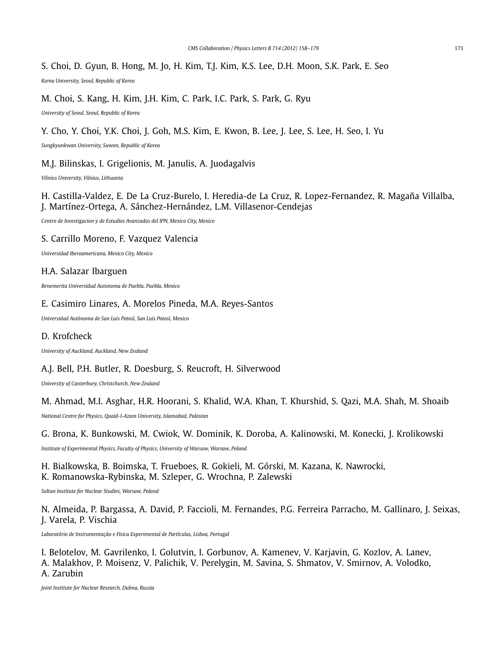## S. Choi, D. Gyun, B. Hong, M. Jo, H. Kim, T.J. Kim, K.S. Lee, D.H. Moon, S.K. Park, E. Seo

*Korea University, Seoul, Republic of Korea*

#### M. Choi, S. Kang, H. Kim, J.H. Kim, C. Park, I.C. Park, S. Park, G. Ryu

*University of Seoul, Seoul, Republic of Korea*

## Y. Cho, Y. Choi, Y.K. Choi, J. Goh, M.S. Kim, E. Kwon, B. Lee, J. Lee, S. Lee, H. Seo, I. Yu

*Sungkyunkwan University, Suwon, Republic of Korea*

#### M.J. Bilinskas, I. Grigelionis, M. Janulis, A. Juodagalvis

*Vilnius University, Vilnius, Lithuania*

## H. Castilla-Valdez, E. De La Cruz-Burelo, I. Heredia-de La Cruz, R. Lopez-Fernandez, R. Magaña Villalba, J. Martínez-Ortega, A. Sánchez-Hernández, L.M. Villasenor-Cendejas

*Centro de Investigacion y de Estudios Avanzados del IPN, Mexico City, Mexico*

S. Carrillo Moreno, F. Vazquez Valencia

*Universidad Iberoamericana, Mexico City, Mexico*

#### H.A. Salazar Ibarguen

*Benemerita Universidad Autonoma de Puebla, Puebla, Mexico*

## E. Casimiro Linares, A. Morelos Pineda, M.A. Reyes-Santos

*Universidad Autónoma de San Luis Potosí, San Luis Potosí, Mexico*

## D. Krofcheck

*University of Auckland, Auckland, New Zealand*

#### A.J. Bell, P.H. Butler, R. Doesburg, S. Reucroft, H. Silverwood

*University of Canterbury, Christchurch, New Zealand*

## M. Ahmad, M.I. Asghar, H.R. Hoorani, S. Khalid, W.A. Khan, T. Khurshid, S. Qazi, M.A. Shah, M. Shoaib

*National Centre for Physics, Quaid-I-Azam University, Islamabad, Pakistan*

#### G. Brona, K. Bunkowski, M. Cwiok, W. Dominik, K. Doroba, A. Kalinowski, M. Konecki, J. Krolikowski

*Institute of Experimental Physics, Faculty of Physics, University of Warsaw, Warsaw, Poland*

H. Bialkowska, B. Boimska, T. Frueboes, R. Gokieli, M. Górski, M. Kazana, K. Nawrocki, K. Romanowska-Rybinska, M. Szleper, G. Wrochna, P. Zalewski

*Soltan Institute for Nuclear Studies, Warsaw, Poland*

N. Almeida, P. Bargassa, A. David, P. Faccioli, M. Fernandes, P.G. Ferreira Parracho, M. Gallinaro, J. Seixas, J. Varela, P. Vischia

*Laboratório de Instrumentação e Física Experimental de Partículas, Lisboa, Portugal*

I. Belotelov, M. Gavrilenko, I. Golutvin, I. Gorbunov, A. Kamenev, V. Karjavin, G. Kozlov, A. Lanev, A. Malakhov, P. Moisenz, V. Palichik, V. Perelygin, M. Savina, S. Shmatov, V. Smirnov, A. Volodko, A. Zarubin

*Joint Institute for Nuclear Research, Dubna, Russia*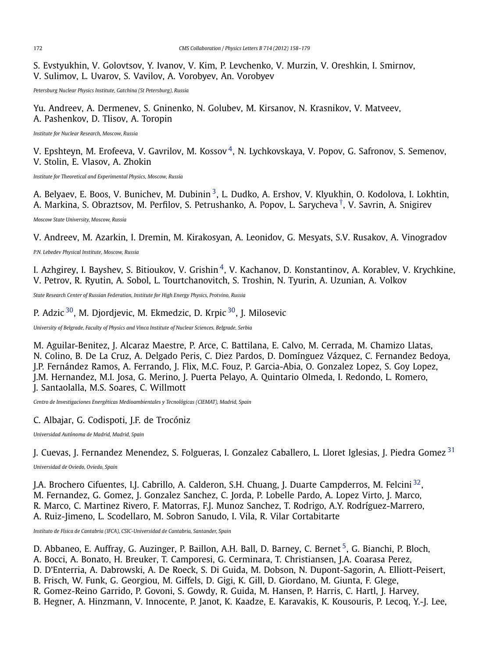S. Evstyukhin, V. Golovtsov, Y. Ivanov, V. Kim, P. Levchenko, V. Murzin, V. Oreshkin, I. Smirnov, V. Sulimov, L. Uvarov, S. Vavilov, A. Vorobyev, An. Vorobyev

*Petersburg Nuclear Physics Institute, Gatchina (St Petersburg), Russia*

Yu. Andreev, A. Dermenev, S. Gninenko, N. Golubev, M. Kirsanov, N. Krasnikov, V. Matveev, A. Pashenkov, D. Tlisov, A. Toropin

*Institute for Nuclear Research, Moscow, Russia*

V. Epshteyn, M. Erofeeva, V. Gavrilov, M. Kossov<sup>4</sup>, N. Lychkovskaya, V. Popov, G. Safronov, S. Semenov, V. Stolin, E. Vlasov, A. Zhokin

*Institute for Theoretical and Experimental Physics, Moscow, Russia*

A. Belyaev, E. Boos, V. Bunichev, M. Dubinin<sup>3</sup>, L. Dudko, A. Ershov, V. Klyukhin, O. Kodolova, I. Lokhtin, A. Markina, S. Obraztsov, M. Perfilov, S. Petrushanko, A. Popov, L. Sarycheva [†,](#page-20-0) V. Savrin, A. Snigirev

*Moscow State University, Moscow, Russia*

V. Andreev, M. Azarkin, I. Dremin, M. Kirakosyan, A. Leonidov, G. Mesyats, S.V. Rusakov, A. Vinogradov

*P.N. Lebedev Physical Institute, Moscow, Russia*

I. Azhgirey, I. Bayshev, S. Bitioukov, V. Grishin<sup>4</sup>, V. Kachanov, D. Konstantinov, A. Korablev, V. Krychkine, V. Petrov, R. Ryutin, A. Sobol, L. Tourtchanovitch, S. Troshin, N. Tyurin, A. Uzunian, A. Volkov

*State Research Center of Russian Federation, Institute for High Energy Physics, Protvino, Russia*

P. Adzic<sup>30</sup>, M. Djordjevic, M. Ekmedzic, D. Krpic<sup>30</sup>, J. Milosevic

*University of Belgrade, Faculty of Physics and Vinca Institute of Nuclear Sciences, Belgrade, Serbia*

M. Aguilar-Benitez, J. Alcaraz Maestre, P. Arce, C. Battilana, E. Calvo, M. Cerrada, M. Chamizo Llatas, N. Colino, B. De La Cruz, A. Delgado Peris, C. Diez Pardos, D. Domínguez Vázquez, C. Fernandez Bedoya, J.P. Fernández Ramos, A. Ferrando, J. Flix, M.C. Fouz, P. Garcia-Abia, O. Gonzalez Lopez, S. Goy Lopez, J.M. Hernandez, M.I. Josa, G. Merino, J. Puerta Pelayo, A. Quintario Olmeda, I. Redondo, L. Romero, J. Santaolalla, M.S. Soares, C. Willmott

*Centro de Investigaciones Energéticas Medioambientales y Tecnológicas (CIEMAT), Madrid, Spain*

## C. Albajar, G. Codispoti, J.F. de Trocóniz

*Universidad Autónoma de Madrid, Madrid, Spain*

J. Cuevas, J. Fernandez Menendez, S. Folgueras, I. Gonzalez Caballero, L. Lloret Iglesias, J. Piedra Gomez<sup>[31](#page-20-0)</sup>

*Universidad de Oviedo, Oviedo, Spain*

J.A. Brochero Cifuentes, I.J. Cabrillo, A. Calderon, S.H. Chuang, J. Duarte Campderros, M. Felcini [32,](#page-20-0) M. Fernandez, G. Gomez, J. Gonzalez Sanchez, C. Jorda, P. Lobelle Pardo, A. Lopez Virto, J. Marco, R. Marco, C. Martinez Rivero, F. Matorras, F.J. Munoz Sanchez, T. Rodrigo, A.Y. Rodríguez-Marrero, A. Ruiz-Jimeno, L. Scodellaro, M. Sobron Sanudo, I. Vila, R. Vilar Cortabitarte

*Instituto de Física de Cantabria (IFCA), CSIC-Universidad de Cantabria, Santander, Spain*

D. Abbaneo, E. Auffray, G. Auzinger, P. Baillon, A.H. Ball, D. Barney, C. Bernet<sup>5</sup>, G. Bianchi, P. Bloch,

A. Bocci, A. Bonato, H. Breuker, T. Camporesi, G. Cerminara, T. Christiansen, J.A. Coarasa Perez,

- D. D'Enterria, A. Dabrowski, A. De Roeck, S. Di Guida, M. Dobson, N. Dupont-Sagorin, A. Elliott-Peisert,
- B. Frisch, W. Funk, G. Georgiou, M. Giffels, D. Gigi, K. Gill, D. Giordano, M. Giunta, F. Glege,
- R. Gomez-Reino Garrido, P. Govoni, S. Gowdy, R. Guida, M. Hansen, P. Harris, C. Hartl, J. Harvey,
- B. Hegner, A. Hinzmann, V. Innocente, P. Janot, K. Kaadze, E. Karavakis, K. Kousouris, P. Lecoq, Y.-J. Lee,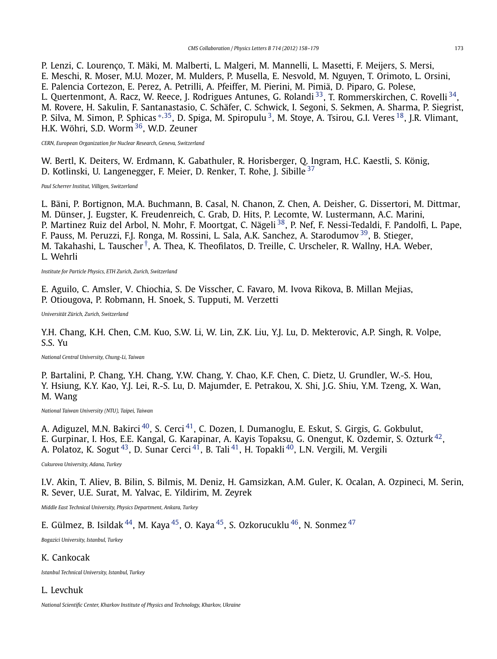P. Lenzi, C. Lourenço, T. Mäki, M. Malberti, L. Malgeri, M. Mannelli, L. Masetti, F. Meijers, S. Mersi, E. Meschi, R. Moser, M.U. Mozer, M. Mulders, P. Musella, E. Nesvold, M. Nguyen, T. Orimoto, L. Orsini, E. Palencia Cortezon, E. Perez, A. Petrilli, A. Pfeiffer, M. Pierini, M. Pimiä, D. Piparo, G. Polese, L. Quertenmont, A. Racz, W. Reece, J. Rodrigues Antunes, G. Rolandi <sup>33</sup>, T. Rommerskirchen, C. Rovelli <sup>34</sup>, M. Rovere, H. Sakulin, F. Santanastasio, C. Schäfer, C. Schwick, I. Segoni, S. Sekmen, A. Sharma, P. Siegrist, P. Silva, M. Simon, P. Sphicas [∗](#page-20-0)*,*[35,](#page-20-0) D. Spiga, M. Spiropulu [3,](#page-20-0) M. Stoye, A. Tsirou, G.I. Veres [18,](#page-20-0) J.R. Vlimant, H.K. Wöhri, S.D. Worm [36,](#page-20-0) W.D. Zeuner

*CERN, European Organization for Nuclear Research, Geneva, Switzerland*

W. Bertl, K. Deiters, W. Erdmann, K. Gabathuler, R. Horisberger, Q. Ingram, H.C. Kaestli, S. König, D. Kotlinski, U. Langenegger, F. Meier, D. Renker, T. Rohe, J. Sibille [37](#page-20-0)

*Paul Scherrer Institut, Villigen, Switzerland*

L. Bäni, P. Bortignon, M.A. Buchmann, B. Casal, N. Chanon, Z. Chen, A. Deisher, G. Dissertori, M. Dittmar, M. Dünser, J. Eugster, K. Freudenreich, C. Grab, D. Hits, P. Lecomte, W. Lustermann, A.C. Marini, P. Martinez Ruiz del Arbol, N. Mohr, F. Moortgat, C. Nägeli<sup>[38](#page-20-0)</sup>, P. Nef, F. Nessi-Tedaldi, F. Pandolfi, L. Pape, F. Pauss, M. Peruzzi, F.J. Ronga, M. Rossini, L. Sala, A.K. Sanchez, A. Starodumov [39,](#page-21-0) B. Stieger, M. Takahashi, L. Tauscher [†](#page-20-0), A. Thea, K. Theofilatos, D. Treille, C. Urscheler, R. Wallny, H.A. Weber, L. Wehrli

*Institute for Particle Physics, ETH Zurich, Zurich, Switzerland*

E. Aguilo, C. Amsler, V. Chiochia, S. De Visscher, C. Favaro, M. Ivova Rikova, B. Millan Mejias, P. Otiougova, P. Robmann, H. Snoek, S. Tupputi, M. Verzetti

*Universität Zürich, Zurich, Switzerland*

Y.H. Chang, K.H. Chen, C.M. Kuo, S.W. Li, W. Lin, Z.K. Liu, Y.J. Lu, D. Mekterovic, A.P. Singh, R. Volpe, S.S. Yu

*National Central University, Chung-Li, Taiwan*

P. Bartalini, P. Chang, Y.H. Chang, Y.W. Chang, Y. Chao, K.F. Chen, C. Dietz, U. Grundler, W.-S. Hou, Y. Hsiung, K.Y. Kao, Y.J. Lei, R.-S. Lu, D. Majumder, E. Petrakou, X. Shi, J.G. Shiu, Y.M. Tzeng, X. Wan, M. Wang

*National Taiwan University (NTU), Taipei, Taiwan*

A. Adiguzel, M.N. Bakirci<sup>40</sup>, S. Cerci<sup>41</sup>, C. Dozen, I. Dumanoglu, E. Eskut, S. Girgis, G. Gokbulut, E. Gurpinar, I. Hos, E.E. Kangal, G. Karapinar, A. Kayis Topaksu, G. Onengut, K. Ozdemir, S. Ozturk [42,](#page-21-0) A. Polatoz, K. Sogut<sup>43</sup>, D. Sunar Cerci<sup>41</sup>, B. Tali<sup>41</sup>, H. Topakli<sup>40</sup>, L.N. Vergili, M. Vergili

*Cukurova University, Adana, Turkey*

I.V. Akin, T. Aliev, B. Bilin, S. Bilmis, M. Deniz, H. Gamsizkan, A.M. Guler, K. Ocalan, A. Ozpineci, M. Serin, R. Sever, U.E. Surat, M. Yalvac, E. Yildirim, M. Zeyrek

*Middle East Technical University, Physics Department, Ankara, Turkey*

E. Gülmez, B. Isildak  $^{44}$ , M. Kaya  $^{45}$ , O. Kaya  $^{45}$ , S. Ozkorucuklu  $^{46}$ , N. Sonmez  $^{47}$  $^{47}$  $^{47}$ 

*Bogazici University, Istanbul, Turkey*

#### K. Cankocak

*Istanbul Technical University, Istanbul, Turkey*

## L. Levchuk

*National Scientific Center, Kharkov Institute of Physics and Technology, Kharkov, Ukraine*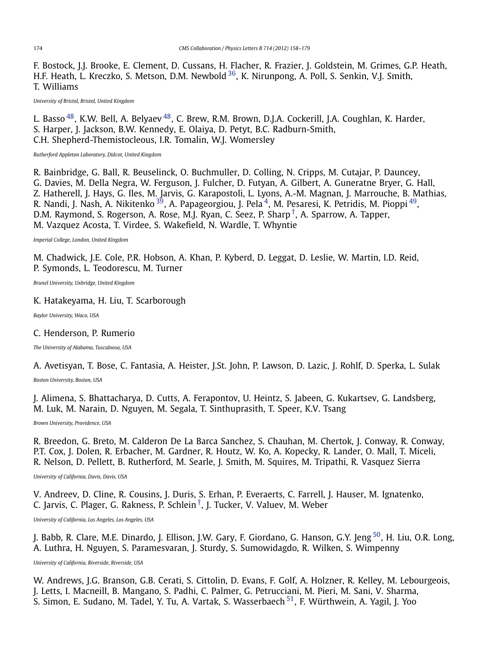F. Bostock, J.J. Brooke, E. Clement, D. Cussans, H. Flacher, R. Frazier, J. Goldstein, M. Grimes, G.P. Heath, H.F. Heath, L. Kreczko, S. Metson, D.M. Newbold [36,](#page-20-0) K. Nirunpong, A. Poll, S. Senkin, V.J. Smith, T. Williams

*University of Bristol, Bristol, United Kingdom*

L. Basso<sup>48</sup>, K.W. Bell, A. Belyaev<sup>48</sup>, C. Brew, R.M. Brown, D.J.A. Cockerill, J.A. Coughlan, K. Harder, S. Harper, J. Jackson, B.W. Kennedy, E. Olaiya, D. Petyt, B.C. Radburn-Smith, C.H. Shepherd-Themistocleous, I.R. Tomalin, W.J. Womersley

*Rutherford Appleton Laboratory, Didcot, United Kingdom*

R. Bainbridge, G. Ball, R. Beuselinck, O. Buchmuller, D. Colling, N. Cripps, M. Cutajar, P. Dauncey, G. Davies, M. Della Negra, W. Ferguson, J. Fulcher, D. Futyan, A. Gilbert, A. Guneratne Bryer, G. Hall, Z. Hatherell, J. Hays, G. Iles, M. Jarvis, G. Karapostoli, L. Lyons, A.-M. Magnan, J. Marrouche, B. Mathias, R. Nandi, J. Nash, A. Nikitenko <sup>39</sup>, A. Papageorgiou, J. Pela<sup>4</sup>, M. Pesaresi, K. Petridis, M. Pioppi <sup>49</sup>, D.M. Raymond, S. Rogerson, A. Rose, M.J. Ryan, C. Seez, P. Sharp [†,](#page-20-0) A. Sparrow, A. Tapper, M. Vazquez Acosta, T. Virdee, S. Wakefield, N. Wardle, T. Whyntie

*Imperial College, London, United Kingdom*

M. Chadwick, J.E. Cole, P.R. Hobson, A. Khan, P. Kyberd, D. Leggat, D. Leslie, W. Martin, I.D. Reid, P. Symonds, L. Teodorescu, M. Turner

*Brunel University, Uxbridge, United Kingdom*

## K. Hatakeyama, H. Liu, T. Scarborough

*Baylor University, Waco, USA*

## C. Henderson, P. Rumerio

*The University of Alabama, Tuscaloosa, USA*

A. Avetisyan, T. Bose, C. Fantasia, A. Heister, J.St. John, P. Lawson, D. Lazic, J. Rohlf, D. Sperka, L. Sulak

*Boston University, Boston, USA*

J. Alimena, S. Bhattacharya, D. Cutts, A. Ferapontov, U. Heintz, S. Jabeen, G. Kukartsev, G. Landsberg, M. Luk, M. Narain, D. Nguyen, M. Segala, T. Sinthuprasith, T. Speer, K.V. Tsang

*Brown University, Providence, USA*

R. Breedon, G. Breto, M. Calderon De La Barca Sanchez, S. Chauhan, M. Chertok, J. Conway, R. Conway, P.T. Cox, J. Dolen, R. Erbacher, M. Gardner, R. Houtz, W. Ko, A. Kopecky, R. Lander, O. Mall, T. Miceli, R. Nelson, D. Pellett, B. Rutherford, M. Searle, J. Smith, M. Squires, M. Tripathi, R. Vasquez Sierra

*University of California, Davis, Davis, USA*

V. Andreev, D. Cline, R. Cousins, J. Duris, S. Erhan, P. Everaerts, C. Farrell, J. Hauser, M. Ignatenko, C. Jarvis, C. Plager, G. Rakness, P. Schlein<sup>†</sup>, J. Tucker, V. Valuev, M. Weber

*University of California, Los Angeles, Los Angeles, USA*

J. Babb, R. Clare, M.E. Dinardo, J. Ellison, J.W. Gary, F. Giordano, G. Hanson, G.Y. Jeng [50,](#page-21-0) H. Liu, O.R. Long, A. Luthra, H. Nguyen, S. Paramesvaran, J. Sturdy, S. Sumowidagdo, R. Wilken, S. Wimpenny

*University of California, Riverside, Riverside, USA*

W. Andrews, J.G. Branson, G.B. Cerati, S. Cittolin, D. Evans, F. Golf, A. Holzner, R. Kelley, M. Lebourgeois, J. Letts, I. Macneill, B. Mangano, S. Padhi, C. Palmer, G. Petrucciani, M. Pieri, M. Sani, V. Sharma, S. Simon, E. Sudano, M. Tadel, Y. Tu, A. Vartak, S. Wasserbaech [51,](#page-21-0) F. Würthwein, A. Yagil, J. Yoo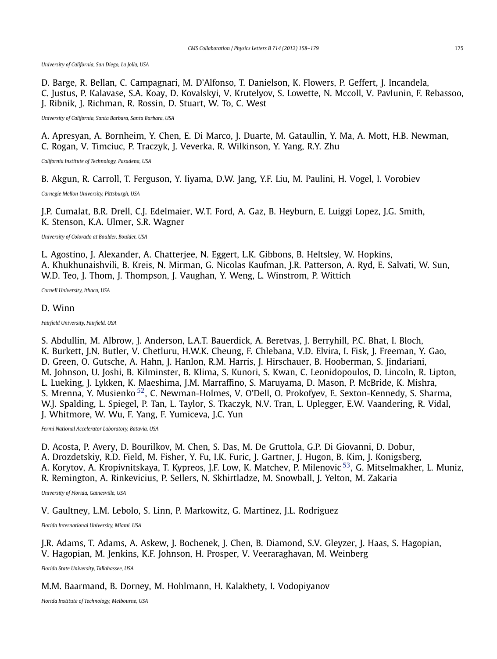D. Barge, R. Bellan, C. Campagnari, M. D'Alfonso, T. Danielson, K. Flowers, P. Geffert, J. Incandela, C. Justus, P. Kalavase, S.A. Koay, D. Kovalskyi, V. Krutelyov, S. Lowette, N. Mccoll, V. Pavlunin, F. Rebassoo, J. Ribnik, J. Richman, R. Rossin, D. Stuart, W. To, C. West

*University of California, Santa Barbara, Santa Barbara, USA*

A. Apresyan, A. Bornheim, Y. Chen, E. Di Marco, J. Duarte, M. Gataullin, Y. Ma, A. Mott, H.B. Newman, C. Rogan, V. Timciuc, P. Traczyk, J. Veverka, R. Wilkinson, Y. Yang, R.Y. Zhu

*California Institute of Technology, Pasadena, USA*

B. Akgun, R. Carroll, T. Ferguson, Y. Iiyama, D.W. Jang, Y.F. Liu, M. Paulini, H. Vogel, I. Vorobiev

*Carnegie Mellon University, Pittsburgh, USA*

J.P. Cumalat, B.R. Drell, C.J. Edelmaier, W.T. Ford, A. Gaz, B. Heyburn, E. Luiggi Lopez, J.G. Smith, K. Stenson, K.A. Ulmer, S.R. Wagner

*University of Colorado at Boulder, Boulder, USA*

L. Agostino, J. Alexander, A. Chatterjee, N. Eggert, L.K. Gibbons, B. Heltsley, W. Hopkins, A. Khukhunaishvili, B. Kreis, N. Mirman, G. Nicolas Kaufman, J.R. Patterson, A. Ryd, E. Salvati, W. Sun, W.D. Teo, J. Thom, J. Thompson, J. Vaughan, Y. Weng, L. Winstrom, P. Wittich

*Cornell University, Ithaca, USA*

## D. Winn

*Fairfield University, Fairfield, USA*

S. Abdullin, M. Albrow, J. Anderson, L.A.T. Bauerdick, A. Beretvas, J. Berryhill, P.C. Bhat, I. Bloch, K. Burkett, J.N. Butler, V. Chetluru, H.W.K. Cheung, F. Chlebana, V.D. Elvira, I. Fisk, J. Freeman, Y. Gao, D. Green, O. Gutsche, A. Hahn, J. Hanlon, R.M. Harris, J. Hirschauer, B. Hooberman, S. Jindariani, M. Johnson, U. Joshi, B. Kilminster, B. Klima, S. Kunori, S. Kwan, C. Leonidopoulos, D. Lincoln, R. Lipton, L. Lueking, J. Lykken, K. Maeshima, J.M. Marraffino, S. Maruyama, D. Mason, P. McBride, K. Mishra, S. Mrenna, Y. Musienko [52,](#page-21-0) C. Newman-Holmes, V. O'Dell, O. Prokofyev, E. Sexton-Kennedy, S. Sharma, W.J. Spalding, L. Spiegel, P. Tan, L. Taylor, S. Tkaczyk, N.V. Tran, L. Uplegger, E.W. Vaandering, R. Vidal, J. Whitmore, W. Wu, F. Yang, F. Yumiceva, J.C. Yun

*Fermi National Accelerator Laboratory, Batavia, USA*

D. Acosta, P. Avery, D. Bourilkov, M. Chen, S. Das, M. De Gruttola, G.P. Di Giovanni, D. Dobur, A. Drozdetskiy, R.D. Field, M. Fisher, Y. Fu, I.K. Furic, J. Gartner, J. Hugon, B. Kim, J. Konigsberg, A. Korytov, A. Kropivnitskaya, T. Kypreos, J.F. Low, K. Matchev, P. Milenovic <sup>53</sup>, G. Mitselmakher, L. Muniz, R. Remington, A. Rinkevicius, P. Sellers, N. Skhirtladze, M. Snowball, J. Yelton, M. Zakaria

*University of Florida, Gainesville, USA*

V. Gaultney, L.M. Lebolo, S. Linn, P. Markowitz, G. Martinez, J.L. Rodriguez

*Florida International University, Miami, USA*

J.R. Adams, T. Adams, A. Askew, J. Bochenek, J. Chen, B. Diamond, S.V. Gleyzer, J. Haas, S. Hagopian, V. Hagopian, M. Jenkins, K.F. Johnson, H. Prosper, V. Veeraraghavan, M. Weinberg

*Florida State University, Tallahassee, USA*

M.M. Baarmand, B. Dorney, M. Hohlmann, H. Kalakhety, I. Vodopiyanov

*Florida Institute of Technology, Melbourne, USA*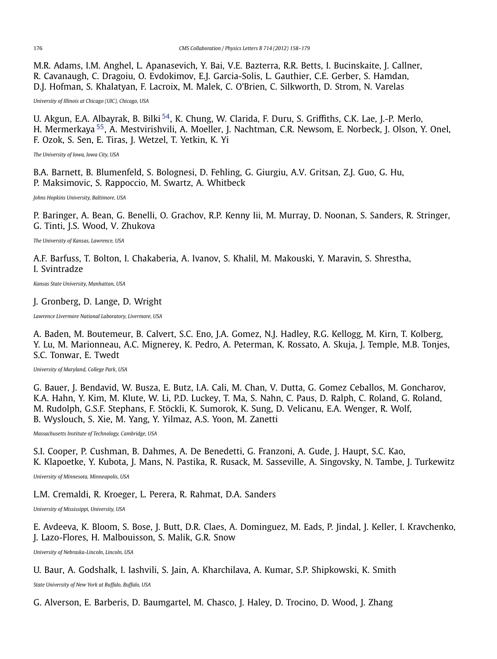M.R. Adams, I.M. Anghel, L. Apanasevich, Y. Bai, V.E. Bazterra, R.R. Betts, I. Bucinskaite, J. Callner, R. Cavanaugh, C. Dragoiu, O. Evdokimov, E.J. Garcia-Solis, L. Gauthier, C.E. Gerber, S. Hamdan, D.J. Hofman, S. Khalatyan, F. Lacroix, M. Malek, C. O'Brien, C. Silkworth, D. Strom, N. Varelas

*University of Illinois at Chicago (UIC), Chicago, USA*

U. Akgun, E.A. Albayrak, B. Bilki <sup>[54](#page-21-0)</sup>, K. Chung, W. Clarida, F. Duru, S. Griffiths, C.K. Lae, J.-P. Merlo, H. Mermerkaya [55,](#page-21-0) A. Mestvirishvili, A. Moeller, J. Nachtman, C.R. Newsom, E. Norbeck, J. Olson, Y. Onel, F. Ozok, S. Sen, E. Tiras, J. Wetzel, T. Yetkin, K. Yi

*The University of Iowa, Iowa City, USA*

B.A. Barnett, B. Blumenfeld, S. Bolognesi, D. Fehling, G. Giurgiu, A.V. Gritsan, Z.J. Guo, G. Hu, P. Maksimovic, S. Rappoccio, M. Swartz, A. Whitbeck

*Johns Hopkins University, Baltimore, USA*

P. Baringer, A. Bean, G. Benelli, O. Grachov, R.P. Kenny Iii, M. Murray, D. Noonan, S. Sanders, R. Stringer, G. Tinti, J.S. Wood, V. Zhukova

*The University of Kansas, Lawrence, USA*

A.F. Barfuss, T. Bolton, I. Chakaberia, A. Ivanov, S. Khalil, M. Makouski, Y. Maravin, S. Shrestha, I. Svintradze

*Kansas State University, Manhattan, USA*

#### J. Gronberg, D. Lange, D. Wright

*Lawrence Livermore National Laboratory, Livermore, USA*

A. Baden, M. Boutemeur, B. Calvert, S.C. Eno, J.A. Gomez, N.J. Hadley, R.G. Kellogg, M. Kirn, T. Kolberg, Y. Lu, M. Marionneau, A.C. Mignerey, K. Pedro, A. Peterman, K. Rossato, A. Skuja, J. Temple, M.B. Tonjes, S.C. Tonwar, E. Twedt

*University of Maryland, College Park, USA*

G. Bauer, J. Bendavid, W. Busza, E. Butz, I.A. Cali, M. Chan, V. Dutta, G. Gomez Ceballos, M. Goncharov, K.A. Hahn, Y. Kim, M. Klute, W. Li, P.D. Luckey, T. Ma, S. Nahn, C. Paus, D. Ralph, C. Roland, G. Roland, M. Rudolph, G.S.F. Stephans, F. Stöckli, K. Sumorok, K. Sung, D. Velicanu, E.A. Wenger, R. Wolf, B. Wyslouch, S. Xie, M. Yang, Y. Yilmaz, A.S. Yoon, M. Zanetti

*Massachusetts Institute of Technology, Cambridge, USA*

S.I. Cooper, P. Cushman, B. Dahmes, A. De Benedetti, G. Franzoni, A. Gude, J. Haupt, S.C. Kao, K. Klapoetke, Y. Kubota, J. Mans, N. Pastika, R. Rusack, M. Sasseville, A. Singovsky, N. Tambe, J. Turkewitz

*University of Minnesota, Minneapolis, USA*

L.M. Cremaldi, R. Kroeger, L. Perera, R. Rahmat, D.A. Sanders

*University of Mississippi, University, USA*

E. Avdeeva, K. Bloom, S. Bose, J. Butt, D.R. Claes, A. Dominguez, M. Eads, P. Jindal, J. Keller, I. Kravchenko, J. Lazo-Flores, H. Malbouisson, S. Malik, G.R. Snow

*University of Nebraska-Lincoln, Lincoln, USA*

U. Baur, A. Godshalk, I. Iashvili, S. Jain, A. Kharchilava, A. Kumar, S.P. Shipkowski, K. Smith

*State University of New York at Buffalo, Buffalo, USA*

G. Alverson, E. Barberis, D. Baumgartel, M. Chasco, J. Haley, D. Trocino, D. Wood, J. Zhang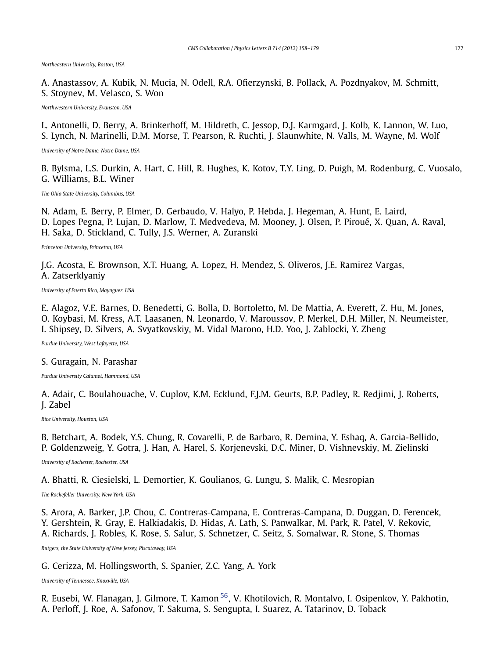A. Anastassov, A. Kubik, N. Mucia, N. Odell, R.A. Ofierzynski, B. Pollack, A. Pozdnyakov, M. Schmitt, S. Stoynev, M. Velasco, S. Won

*Northwestern University, Evanston, USA*

L. Antonelli, D. Berry, A. Brinkerhoff, M. Hildreth, C. Jessop, D.J. Karmgard, J. Kolb, K. Lannon, W. Luo, S. Lynch, N. Marinelli, D.M. Morse, T. Pearson, R. Ruchti, J. Slaunwhite, N. Valls, M. Wayne, M. Wolf

*University of Notre Dame, Notre Dame, USA*

B. Bylsma, L.S. Durkin, A. Hart, C. Hill, R. Hughes, K. Kotov, T.Y. Ling, D. Puigh, M. Rodenburg, C. Vuosalo, G. Williams, B.L. Winer

*The Ohio State University, Columbus, USA*

N. Adam, E. Berry, P. Elmer, D. Gerbaudo, V. Halyo, P. Hebda, J. Hegeman, A. Hunt, E. Laird, D. Lopes Pegna, P. Lujan, D. Marlow, T. Medvedeva, M. Mooney, J. Olsen, P. Piroué, X. Quan, A. Raval, H. Saka, D. Stickland, C. Tully, J.S. Werner, A. Zuranski

*Princeton University, Princeton, USA*

J.G. Acosta, E. Brownson, X.T. Huang, A. Lopez, H. Mendez, S. Oliveros, J.E. Ramirez Vargas, A. Zatserklyaniy

*University of Puerto Rico, Mayaguez, USA*

E. Alagoz, V.E. Barnes, D. Benedetti, G. Bolla, D. Bortoletto, M. De Mattia, A. Everett, Z. Hu, M. Jones, O. Koybasi, M. Kress, A.T. Laasanen, N. Leonardo, V. Maroussov, P. Merkel, D.H. Miller, N. Neumeister, I. Shipsey, D. Silvers, A. Svyatkovskiy, M. Vidal Marono, H.D. Yoo, J. Zablocki, Y. Zheng

*Purdue University, West Lafayette, USA*

#### S. Guragain, N. Parashar

*Purdue University Calumet, Hammond, USA*

A. Adair, C. Boulahouache, V. Cuplov, K.M. Ecklund, F.J.M. Geurts, B.P. Padley, R. Redjimi, J. Roberts, J. Zabel

*Rice University, Houston, USA*

B. Betchart, A. Bodek, Y.S. Chung, R. Covarelli, P. de Barbaro, R. Demina, Y. Eshaq, A. Garcia-Bellido, P. Goldenzweig, Y. Gotra, J. Han, A. Harel, S. Korjenevski, D.C. Miner, D. Vishnevskiy, M. Zielinski

*University of Rochester, Rochester, USA*

A. Bhatti, R. Ciesielski, L. Demortier, K. Goulianos, G. Lungu, S. Malik, C. Mesropian

*The Rockefeller University, New York, USA*

S. Arora, A. Barker, J.P. Chou, C. Contreras-Campana, E. Contreras-Campana, D. Duggan, D. Ferencek, Y. Gershtein, R. Gray, E. Halkiadakis, D. Hidas, A. Lath, S. Panwalkar, M. Park, R. Patel, V. Rekovic, A. Richards, J. Robles, K. Rose, S. Salur, S. Schnetzer, C. Seitz, S. Somalwar, R. Stone, S. Thomas

*Rutgers, the State University of New Jersey, Piscataway, USA*

G. Cerizza, M. Hollingsworth, S. Spanier, Z.C. Yang, A. York

*University of Tennessee, Knoxville, USA*

R. Eusebi, W. Flanagan, J. Gilmore, T. Kamon <sup>56</sup>, V. Khotilovich, R. Montalvo, I. Osipenkov, Y. Pakhotin, A. Perloff, J. Roe, A. Safonov, T. Sakuma, S. Sengupta, I. Suarez, A. Tatarinov, D. Toback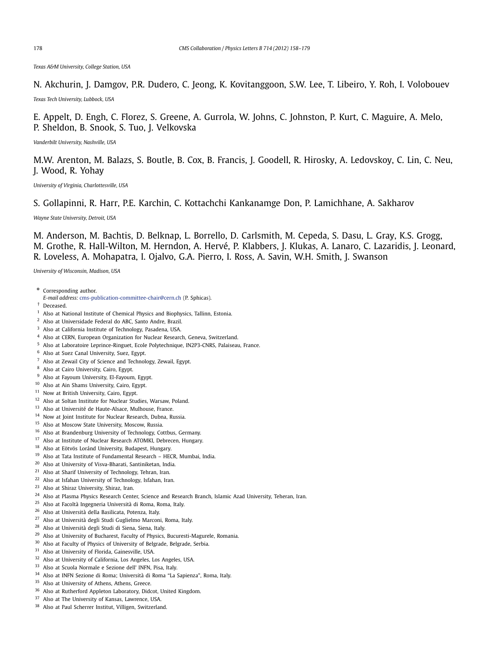<span id="page-20-0"></span>*Texas A&M University, College Station, USA*

N. Akchurin, J. Damgov, P.R. Dudero, C. Jeong, K. Kovitanggoon, S.W. Lee, T. Libeiro, Y. Roh, I. Volobouev

*Texas Tech University, Lubbock, USA*

E. Appelt, D. Engh, C. Florez, S. Greene, A. Gurrola, W. Johns, C. Johnston, P. Kurt, C. Maguire, A. Melo, P. Sheldon, B. Snook, S. Tuo, J. Velkovska

*Vanderbilt University, Nashville, USA*

M.W. Arenton, M. Balazs, S. Boutle, B. Cox, B. Francis, J. Goodell, R. Hirosky, A. Ledovskoy, C. Lin, C. Neu, J. Wood, R. Yohay

*University of Virginia, Charlottesville, USA*

S. Gollapinni, R. Harr, P.E. Karchin, C. Kottachchi Kankanamge Don, P. Lamichhane, A. Sakharov

*Wayne State University, Detroit, USA*

M. Anderson, M. Bachtis, D. Belknap, L. Borrello, D. Carlsmith, M. Cepeda, S. Dasu, L. Gray, K.S. Grogg, M. Grothe, R. Hall-Wilton, M. Herndon, A. Hervé, P. Klabbers, J. Klukas, A. Lanaro, C. Lazaridis, J. Leonard, R. Loveless, A. Mohapatra, I. Ojalvo, G.A. Pierro, I. Ross, A. Savin, W.H. Smith, J. Swanson

*University of Wisconsin, Madison, USA*

- \* Corresponding author.
- *E-mail address:* [cms-publication-committee-chair@cern.ch](mailto:cms-publication-committee-chair@cern.ch) (P. Sphicas).
- † Deceased.
- $1$  Also at National Institute of Chemical Physics and Biophysics, Tallinn, Estonia.
- <sup>2</sup> Also at Universidade Federal do ABC, Santo Andre, Brazil.
- <sup>3</sup> Also at California Institute of Technology, Pasadena, USA.
- <sup>4</sup> Also at CERN, European Organization for Nuclear Research, Geneva, Switzerland.
- <sup>5</sup> Also at Laboratoire Leprince-Ringuet, Ecole Polytechnique, IN2P3-CNRS, Palaiseau, France.
- <sup>6</sup> Also at Suez Canal University, Suez, Egypt.
- <sup>7</sup> Also at Zewail City of Science and Technology, Zewail, Egypt.
- <sup>8</sup> Also at Cairo University, Cairo, Egypt.
- <sup>9</sup> Also at Fayoum University, El-Fayoum, Egypt.
- <sup>10</sup> Also at Ain Shams University, Cairo, Egypt.
- 11 Now at British University, Cairo, Egypt.
- <sup>12</sup> Also at Soltan Institute for Nuclear Studies, Warsaw, Poland.
- <sup>13</sup> Also at Université de Haute-Alsace, Mulhouse, France.
- <sup>14</sup> Now at Joint Institute for Nuclear Research, Dubna, Russia.
- <sup>15</sup> Also at Moscow State University, Moscow, Russia.
- <sup>16</sup> Also at Brandenburg University of Technology, Cottbus, Germany.
- <sup>17</sup> Also at Institute of Nuclear Research ATOMKI, Debrecen, Hungary.
- <sup>18</sup> Also at Eötvös Loránd University, Budapest, Hungary.
- <sup>19</sup> Also at Tata Institute of Fundamental Research HECR, Mumbai, India.
- <sup>20</sup> Also at University of Visva-Bharati, Santiniketan, India.
- <sup>21</sup> Also at Sharif University of Technology, Tehran, Iran.
- <sup>22</sup> Also at Isfahan University of Technology, Isfahan, Iran.
- <sup>23</sup> Also at Shiraz University, Shiraz, Iran.
- <sup>24</sup> Also at Plasma Physics Research Center, Science and Research Branch, Islamic Azad University, Teheran, Iran.
- <sup>25</sup> Also at Facoltà Ingegneria Università di Roma, Roma, Italy.
- <sup>26</sup> Also at Università della Basilicata, Potenza, Italy.
- <sup>27</sup> Also at Università degli Studi Guglielmo Marconi, Roma, Italy.
- <sup>28</sup> Also at Università degli Studi di Siena, Siena, Italy.
- <sup>29</sup> Also at University of Bucharest, Faculty of Physics, Bucuresti-Magurele, Romania.
- <sup>30</sup> Also at Faculty of Physics of University of Belgrade, Belgrade, Serbia.
- <sup>31</sup> Also at University of Florida, Gainesville, USA.
- <sup>32</sup> Also at University of California, Los Angeles, Los Angeles, USA.
- <sup>33</sup> Also at Scuola Normale e Sezione dell' INFN, Pisa, Italy.
- <sup>34</sup> Also at INFN Sezione di Roma; Università di Roma "La Sapienza", Roma, Italy.
- <sup>35</sup> Also at University of Athens, Athens, Greece.
- <sup>36</sup> Also at Rutherford Appleton Laboratory, Didcot, United Kingdom.
- <sup>37</sup> Also at The University of Kansas, Lawrence, USA.
- <sup>38</sup> Also at Paul Scherrer Institut, Villigen, Switzerland.